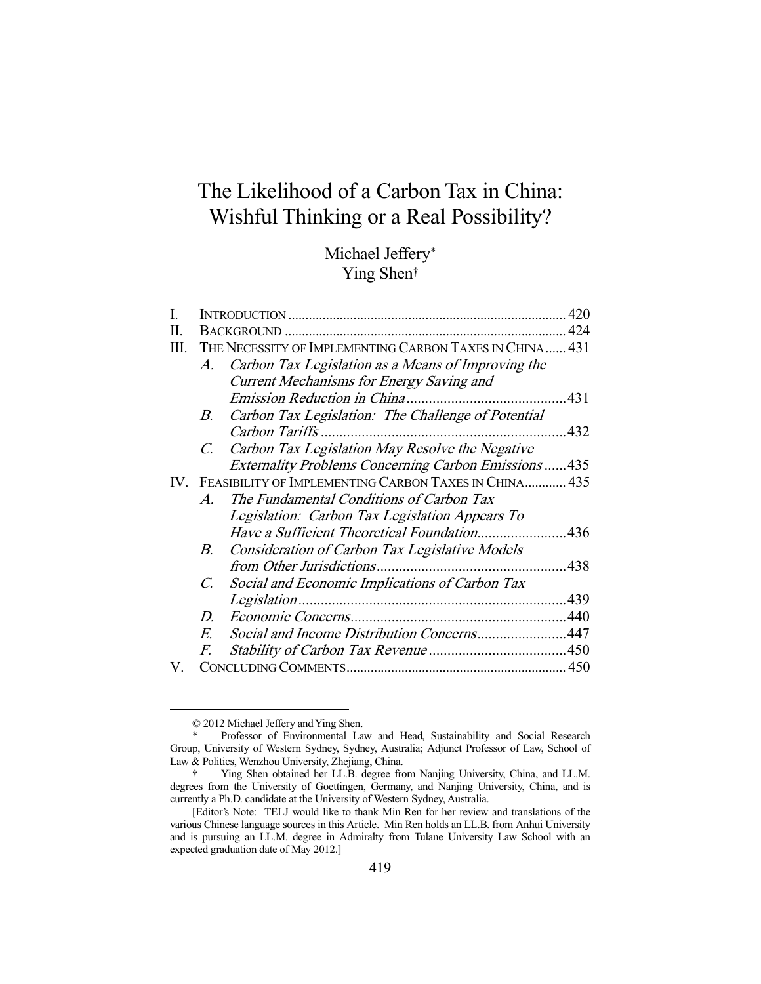# The Likelihood of a Carbon Tax in China: Wishful Thinking or a Real Possibility?

# Michael Jeffery\* Ying Shen†

| I. |                                                                   |                                                            |     |  |  |  |
|----|-------------------------------------------------------------------|------------------------------------------------------------|-----|--|--|--|
| П. |                                                                   |                                                            |     |  |  |  |
| Ш. | THE NECESSITY OF IMPLEMENTING CARBON TAXES IN CHINA 431           |                                                            |     |  |  |  |
|    | Carbon Tax Legislation as a Means of Improving the<br>$A_{\cdot}$ |                                                            |     |  |  |  |
|    |                                                                   | <b>Current Mechanisms for Energy Saving and</b>            |     |  |  |  |
|    |                                                                   |                                                            | 431 |  |  |  |
|    | В.                                                                | Carbon Tax Legislation: The Challenge of Potential         |     |  |  |  |
|    |                                                                   |                                                            | 432 |  |  |  |
|    | $C_{\cdot}$                                                       | Carbon Tax Legislation May Resolve the Negative            |     |  |  |  |
|    |                                                                   | <b>Externality Problems Concerning Carbon Emissions435</b> |     |  |  |  |
|    | IV. FEASIBILITY OF IMPLEMENTING CARBON TAXES IN CHINA 435         |                                                            |     |  |  |  |
|    | $\mathcal{A}_{\cdot}$                                             | The Fundamental Conditions of Carbon Tax                   |     |  |  |  |
|    |                                                                   | Legislation: Carbon Tax Legislation Appears To             |     |  |  |  |
|    |                                                                   | Have a Sufficient Theoretical Foundation436                |     |  |  |  |
|    | B.                                                                | <b>Consideration of Carbon Tax Legislative Models</b>      |     |  |  |  |
|    |                                                                   |                                                            |     |  |  |  |
|    | $\mathcal{C}$ .                                                   | Social and Economic Implications of Carbon Tax             |     |  |  |  |
|    |                                                                   |                                                            |     |  |  |  |
|    | D.                                                                |                                                            |     |  |  |  |
|    | E.                                                                | Social and Income Distribution Concerns447                 |     |  |  |  |
|    | F.                                                                |                                                            |     |  |  |  |
| V. |                                                                   |                                                            |     |  |  |  |
|    |                                                                   |                                                            |     |  |  |  |

 <sup>© 2012</sup> Michael Jeffery and Ying Shen.

Professor of Environmental Law and Head, Sustainability and Social Research Group, University of Western Sydney, Sydney, Australia; Adjunct Professor of Law, School of Law & Politics, Wenzhou University, Zhejiang, China.

 <sup>†</sup> Ying Shen obtained her LL.B. degree from Nanjing University, China, and LL.M. degrees from the University of Goettingen, Germany, and Nanjing University, China, and is currently a Ph.D. candidate at the University of Western Sydney, Australia.

 <sup>[</sup>Editor's Note: TELJ would like to thank Min Ren for her review and translations of the various Chinese language sources in this Article. Min Ren holds an LL.B. from Anhui University and is pursuing an LL.M. degree in Admiralty from Tulane University Law School with an expected graduation date of May 2012.]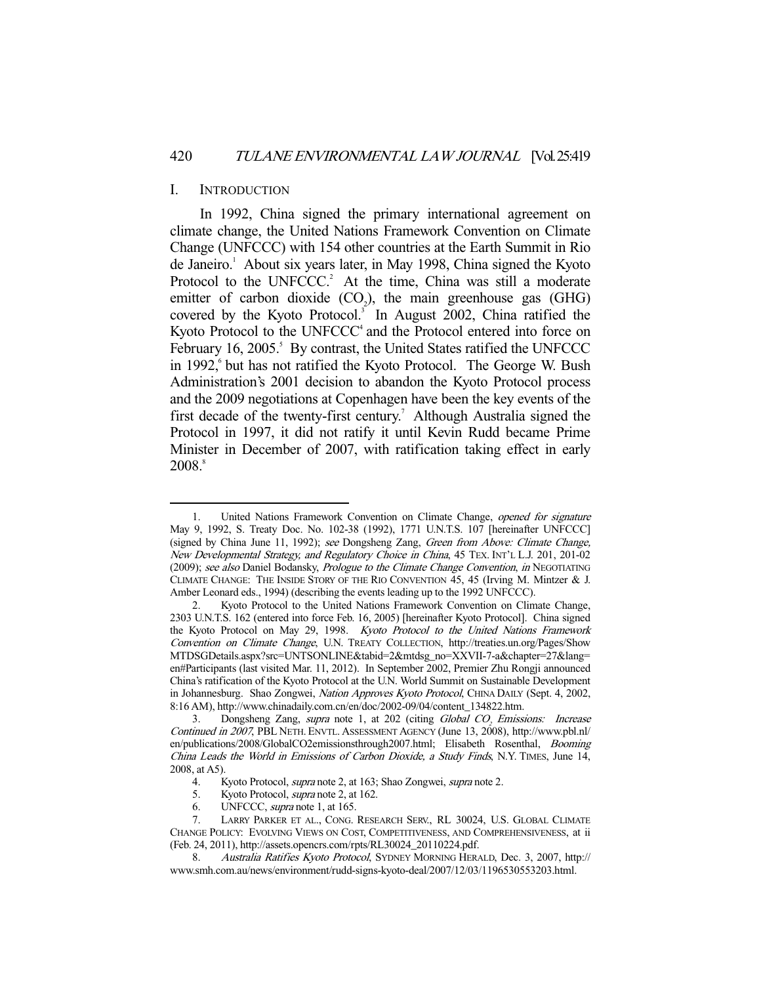#### I. INTRODUCTION

-

 In 1992, China signed the primary international agreement on climate change, the United Nations Framework Convention on Climate Change (UNFCCC) with 154 other countries at the Earth Summit in Rio de Janeiro.<sup>1</sup> About six years later, in May 1998, China signed the Kyoto Protocol to the UNFCCC.<sup>2</sup> At the time, China was still a moderate emitter of carbon dioxide  $(CO_2)$ , the main greenhouse gas  $(GHG)$ covered by the Kyoto Protocol.<sup>3</sup> In August 2002, China ratified the Kyoto Protocol to the UNFCCC<sup>4</sup> and the Protocol entered into force on February 16, 2005.<sup>5</sup> By contrast, the United States ratified the UNFCCC in 1992,<sup>6</sup> but has not ratified the Kyoto Protocol. The George W. Bush Administration's 2001 decision to abandon the Kyoto Protocol process and the 2009 negotiations at Copenhagen have been the key events of the first decade of the twenty-first century.<sup>7</sup> Although Australia signed the Protocol in 1997, it did not ratify it until Kevin Rudd became Prime Minister in December of 2007, with ratification taking effect in early  $2008$ .<sup>8</sup>

 <sup>1.</sup> United Nations Framework Convention on Climate Change, opened for signature May 9, 1992, S. Treaty Doc. No. 102-38 (1992), 1771 U.N.T.S. 107 [hereinafter UNFCCC] (signed by China June 11, 1992); see Dongsheng Zang, Green from Above: Climate Change, New Developmental Strategy, and Regulatory Choice in China, 45 TEX. INT'L L.J. 201, 201-02 (2009); see also Daniel Bodansky, Prologue to the Climate Change Convention, in NEGOTIATING CLIMATE CHANGE: THE INSIDE STORY OF THE RIO CONVENTION 45, 45 (Irving M. Mintzer & J. Amber Leonard eds., 1994) (describing the events leading up to the 1992 UNFCCC).

 <sup>2.</sup> Kyoto Protocol to the United Nations Framework Convention on Climate Change, 2303 U.N.T.S. 162 (entered into force Feb. 16, 2005) [hereinafter Kyoto Protocol]. China signed the Kyoto Protocol on May 29, 1998. Kyoto Protocol to the United Nations Framework Convention on Climate Change, U.N. TREATY COLLECTION, http://treaties.un.org/Pages/Show MTDSGDetails.aspx?src=UNTSONLINE&tabid=2&mtdsg\_no=XXVII-7-a&chapter=27&lang= en#Participants (last visited Mar. 11, 2012). In September 2002, Premier Zhu Rongji announced China's ratification of the Kyoto Protocol at the U.N. World Summit on Sustainable Development in Johannesburg. Shao Zongwei, Nation Approves Kyoto Protocol, CHINA DAILY (Sept. 4, 2002, 8:16 AM), http://www.chinadaily.com.cn/en/doc/2002-09/04/content\_134822.htm.

<sup>3.</sup> Dongsheng Zang, *supra* note 1, at 202 (citing *Global CO<sub>2</sub> Emissions: Increase* Continued in 2007, PBL NETH. ENVTL. ASSESSMENT AGENCY (June 13, 2008), http://www.pbl.nl/ en/publications/2008/GlobalCO2emissionsthrough2007.html; Elisabeth Rosenthal, Booming China Leads the World in Emissions of Carbon Dioxide, a Study Finds, N.Y. TIMES, June 14, 2008, at A5).

<sup>4.</sup> Kyoto Protocol, *supra* note 2, at 163; Shao Zongwei, *supra* note 2.

 <sup>5.</sup> Kyoto Protocol, supra note 2, at 162.

 <sup>6.</sup> UNFCCC, supra note 1, at 165.

 <sup>7.</sup> LARRY PARKER ET AL., CONG. RESEARCH SERV., RL 30024, U.S. GLOBAL CLIMATE CHANGE POLICY: EVOLVING VIEWS ON COST, COMPETITIVENESS, AND COMPREHENSIVENESS, at ii (Feb. 24, 2011), http://assets.opencrs.com/rpts/RL30024\_20110224.pdf.

<sup>8.</sup> Australia Ratifies Kyoto Protocol, SYDNEY MORNING HERALD, Dec. 3, 2007, http:// www.smh.com.au/news/environment/rudd-signs-kyoto-deal/2007/12/03/1196530553203.html.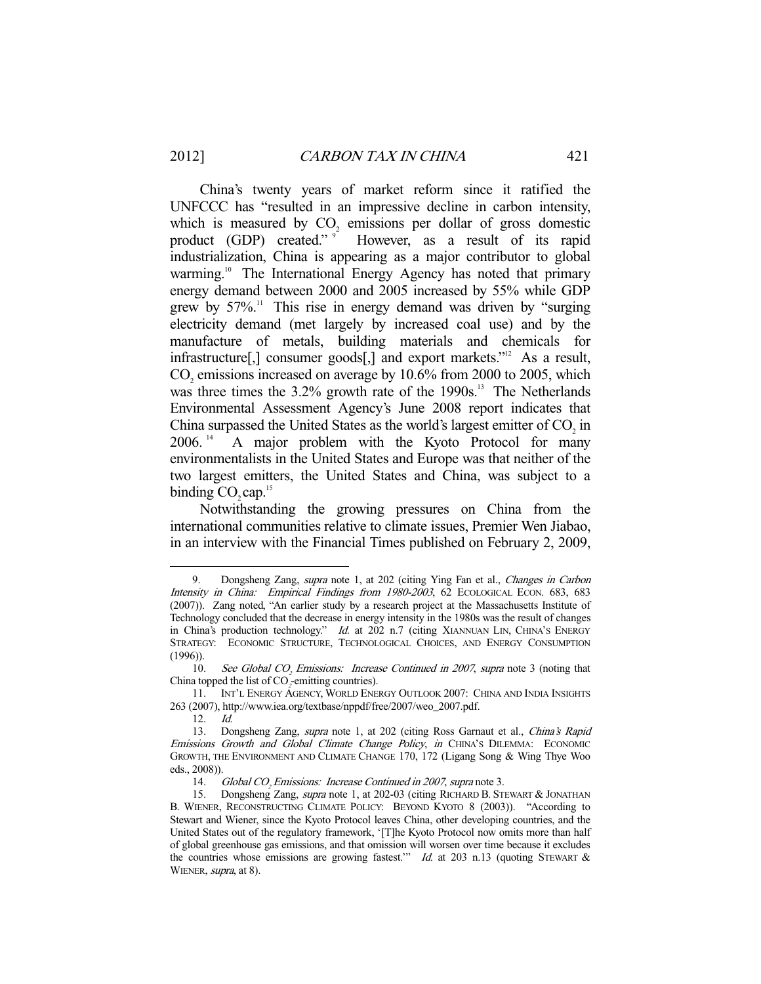China's twenty years of market reform since it ratified the UNFCCC has "resulted in an impressive decline in carbon intensity, which is measured by  $CO<sub>2</sub>$  emissions per dollar of gross domestic product (GDP) created."  $9^{\circ}$  However, as a result of its rapid industrialization, China is appearing as a major contributor to global warming.<sup>10</sup> The International Energy Agency has noted that primary energy demand between 2000 and 2005 increased by 55% while GDP grew by  $57\%$ .<sup>11</sup> This rise in energy demand was driven by "surging electricity demand (met largely by increased coal use) and by the manufacture of metals, building materials and chemicals for infrastructure<sup>[1]</sup>, consumer goods<sup>[1]</sup>, and export markets.<sup>212</sup> As a result,  $CO<sub>2</sub>$  emissions increased on average by 10.6% from 2000 to 2005, which was three times the  $3.2\%$  growth rate of the 1990s.<sup>13</sup> The Netherlands Environmental Assessment Agency's June 2008 report indicates that China surpassed the United States as the world's largest emitter of  $CO<sub>2</sub>$  in 2006.<sup>14</sup> A major problem with the Kyoto Protocol for many environmentalists in the United States and Europe was that neither of the two largest emitters, the United States and China, was subject to a binding  $CO$ , cap.<sup>15</sup>

 Notwithstanding the growing pressures on China from the international communities relative to climate issues, Premier Wen Jiabao, in an interview with the Financial Times published on February 2, 2009,

<sup>-</sup> 9. Dongsheng Zang, supra note 1, at 202 (citing Ying Fan et al., Changes in Carbon Intensity in China: Empirical Findings from 1980-2003, 62 ECOLOGICAL ECON. 683, 683 (2007)). Zang noted, "An earlier study by a research project at the Massachusetts Institute of Technology concluded that the decrease in energy intensity in the 1980s was the result of changes in China's production technology." Id. at 202 n.7 (citing XIANNUAN LIN, CHINA'S ENERGY STRATEGY: ECONOMIC STRUCTURE, TECHNOLOGICAL CHOICES, AND ENERGY CONSUMPTION (1996)).

<sup>10.</sup> See Global CO<sub>2</sub> Emissions: Increase Continued in 2007, supra note 3 (noting that China topped the list of  $CO<sub>z</sub>$ -emitting countries).

 <sup>11.</sup> INT'L ENERGY AGENCY, WORLD ENERGY OUTLOOK 2007: CHINA AND INDIA INSIGHTS 263 (2007), http://www.iea.org/textbase/nppdf/free/2007/weo\_2007.pdf.

 <sup>12.</sup> Id.

<sup>13.</sup> Dongsheng Zang, supra note 1, at 202 (citing Ross Garnaut et al., China's Rapid Emissions Growth and Global Climate Change Policy, in CHINA'S DILEMMA: ECONOMIC GROWTH, THE ENVIRONMENT AND CLIMATE CHANGE 170, 172 (Ligang Song & Wing Thye Woo eds., 2008)).

<sup>14.</sup> Global CO<sub>2</sub> Emissions: Increase Continued in 2007, supra note 3.

<sup>15.</sup> Dongsheng Zang, *supra* note 1, at 202-03 (citing RICHARD B. STEWART & JONATHAN B. WIENER, RECONSTRUCTING CLIMATE POLICY: BEYOND KYOTO 8 (2003)). "According to Stewart and Wiener, since the Kyoto Protocol leaves China, other developing countries, and the United States out of the regulatory framework, '[T]he Kyoto Protocol now omits more than half of global greenhouse gas emissions, and that omission will worsen over time because it excludes the countries whose emissions are growing fastest." Id. at 203 n.13 (quoting STEWART  $\&$ WIENER, *supra*, at 8).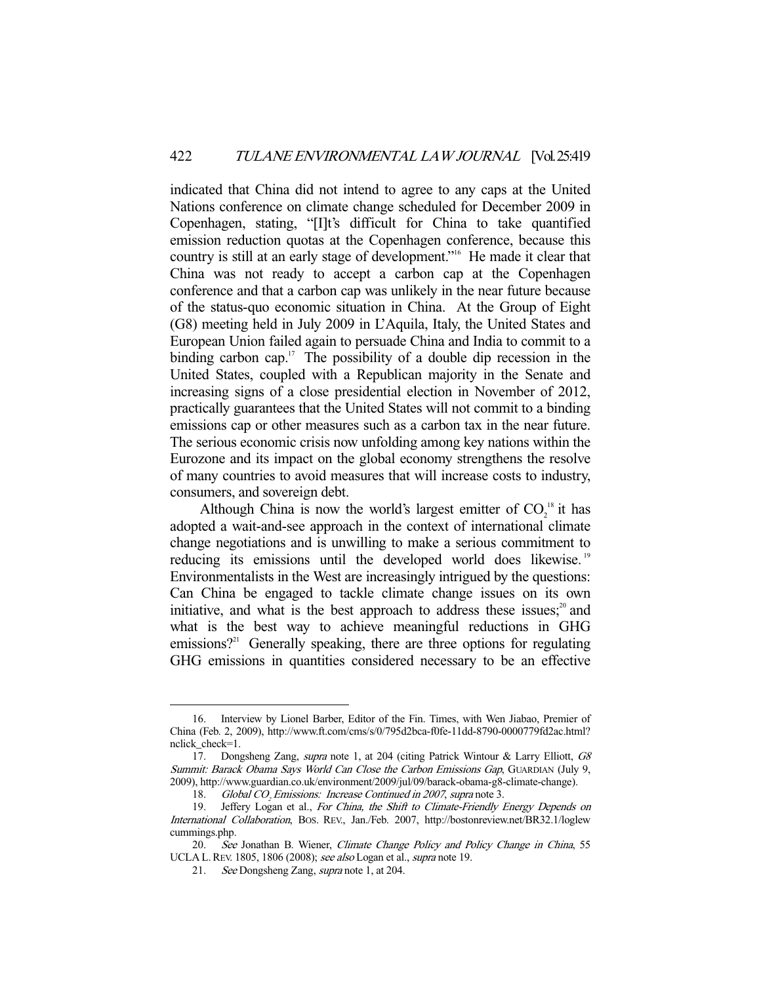indicated that China did not intend to agree to any caps at the United Nations conference on climate change scheduled for December 2009 in Copenhagen, stating, "[I]t's difficult for China to take quantified emission reduction quotas at the Copenhagen conference, because this country is still at an early stage of development."16 He made it clear that China was not ready to accept a carbon cap at the Copenhagen conference and that a carbon cap was unlikely in the near future because of the status-quo economic situation in China. At the Group of Eight (G8) meeting held in July 2009 in L'Aquila, Italy, the United States and European Union failed again to persuade China and India to commit to a binding carbon cap.<sup>17</sup> The possibility of a double dip recession in the United States, coupled with a Republican majority in the Senate and increasing signs of a close presidential election in November of 2012, practically guarantees that the United States will not commit to a binding emissions cap or other measures such as a carbon tax in the near future. The serious economic crisis now unfolding among key nations within the Eurozone and its impact on the global economy strengthens the resolve of many countries to avoid measures that will increase costs to industry, consumers, and sovereign debt.

Although China is now the world's largest emitter of  $CO_2^{\{18\}}$  it has adopted a wait-and-see approach in the context of international climate change negotiations and is unwilling to make a serious commitment to reducing its emissions until the developed world does likewise.<sup>19</sup> Environmentalists in the West are increasingly intrigued by the questions: Can China be engaged to tackle climate change issues on its own initiative, and what is the best approach to address these issues; $2^{\circ}$  and what is the best way to achieve meaningful reductions in GHG emissions?<sup>21</sup> Generally speaking, there are three options for regulating GHG emissions in quantities considered necessary to be an effective

 <sup>16.</sup> Interview by Lionel Barber, Editor of the Fin. Times, with Wen Jiabao, Premier of China (Feb. 2, 2009), http://www.ft.com/cms/s/0/795d2bca-f0fe-11dd-8790-0000779fd2ac.html? nclick check=1.

<sup>17.</sup> Dongsheng Zang, supra note 1, at 204 (citing Patrick Wintour & Larry Elliott, G8 Summit: Barack Obama Says World Can Close the Carbon Emissions Gap, GUARDIAN (July 9, 2009), http://www.guardian.co.uk/environment/2009/jul/09/barack-obama-g8-climate-change).

<sup>18.</sup> Global CO<sub>2</sub> Emissions: Increase Continued in 2007, supra note 3.

<sup>19.</sup> Jeffery Logan et al., For China, the Shift to Climate-Friendly Energy Depends on International Collaboration, BOS. REV., Jan./Feb. 2007, http://bostonreview.net/BR32.1/loglew cummings.php.

<sup>20.</sup> See Jonathan B. Wiener, Climate Change Policy and Policy Change in China, 55 UCLA L. REV. 1805, 1806 (2008); see also Logan et al., supra note 19.

 <sup>21.</sup> See Dongsheng Zang, supra note 1, at 204.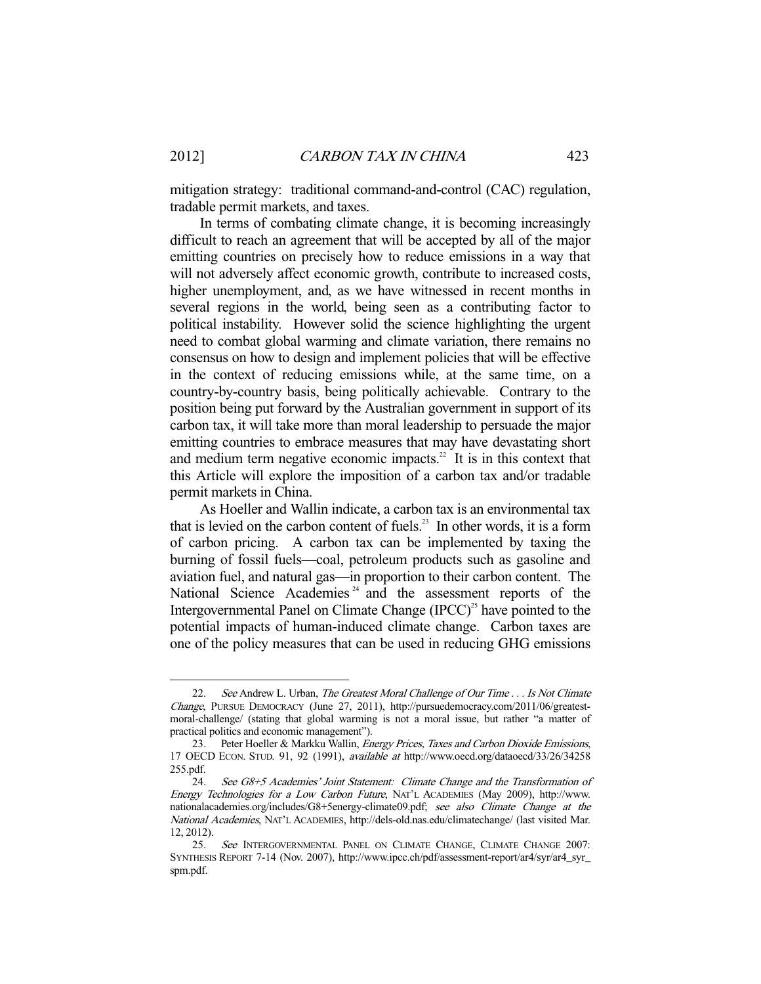mitigation strategy: traditional command-and-control (CAC) regulation, tradable permit markets, and taxes.

 In terms of combating climate change, it is becoming increasingly difficult to reach an agreement that will be accepted by all of the major emitting countries on precisely how to reduce emissions in a way that will not adversely affect economic growth, contribute to increased costs, higher unemployment, and, as we have witnessed in recent months in several regions in the world, being seen as a contributing factor to political instability. However solid the science highlighting the urgent need to combat global warming and climate variation, there remains no consensus on how to design and implement policies that will be effective in the context of reducing emissions while, at the same time, on a country-by-country basis, being politically achievable. Contrary to the position being put forward by the Australian government in support of its carbon tax, it will take more than moral leadership to persuade the major emitting countries to embrace measures that may have devastating short and medium term negative economic impacts.<sup>22</sup> It is in this context that this Article will explore the imposition of a carbon tax and/or tradable permit markets in China.

 As Hoeller and Wallin indicate, a carbon tax is an environmental tax that is levied on the carbon content of fuels.<sup>23</sup> In other words, it is a form of carbon pricing. A carbon tax can be implemented by taxing the burning of fossil fuels—coal, petroleum products such as gasoline and aviation fuel, and natural gas—in proportion to their carbon content. The National Science Academies<sup> $24$ </sup> and the assessment reports of the Intergovernmental Panel on Climate Change  $(IPCC)^{25}$  have pointed to the potential impacts of human-induced climate change. Carbon taxes are one of the policy measures that can be used in reducing GHG emissions

<sup>22.</sup> See Andrew L. Urban, The Greatest Moral Challenge of Our Time . . . Is Not Climate Change, PURSUE DEMOCRACY (June 27, 2011), http://pursuedemocracy.com/2011/06/greatestmoral-challenge/ (stating that global warming is not a moral issue, but rather "a matter of practical politics and economic management").

<sup>23.</sup> Peter Hoeller & Markku Wallin, Energy Prices, Taxes and Carbon Dioxide Emissions, 17 OECD ECON. STUD. 91, 92 (1991), available at http://www.oecd.org/dataoecd/33/26/34258 255.pdf.

 <sup>24.</sup> See G8+5 Academies' Joint Statement: Climate Change and the Transformation of Energy Technologies for a Low Carbon Future, NAT'L ACADEMIES (May 2009), http://www. nationalacademies.org/includes/G8+5energy-climate09.pdf; see also Climate Change at the National Academies, NAT'L ACADEMIES, http://dels-old.nas.edu/climatechange/ (last visited Mar. 12, 2012).

<sup>25.</sup> See INTERGOVERNMENTAL PANEL ON CLIMATE CHANGE, CLIMATE CHANGE 2007: SYNTHESIS REPORT 7-14 (Nov. 2007), http://www.ipcc.ch/pdf/assessment-report/ar4/syr/ar4\_syr\_ spm.pdf.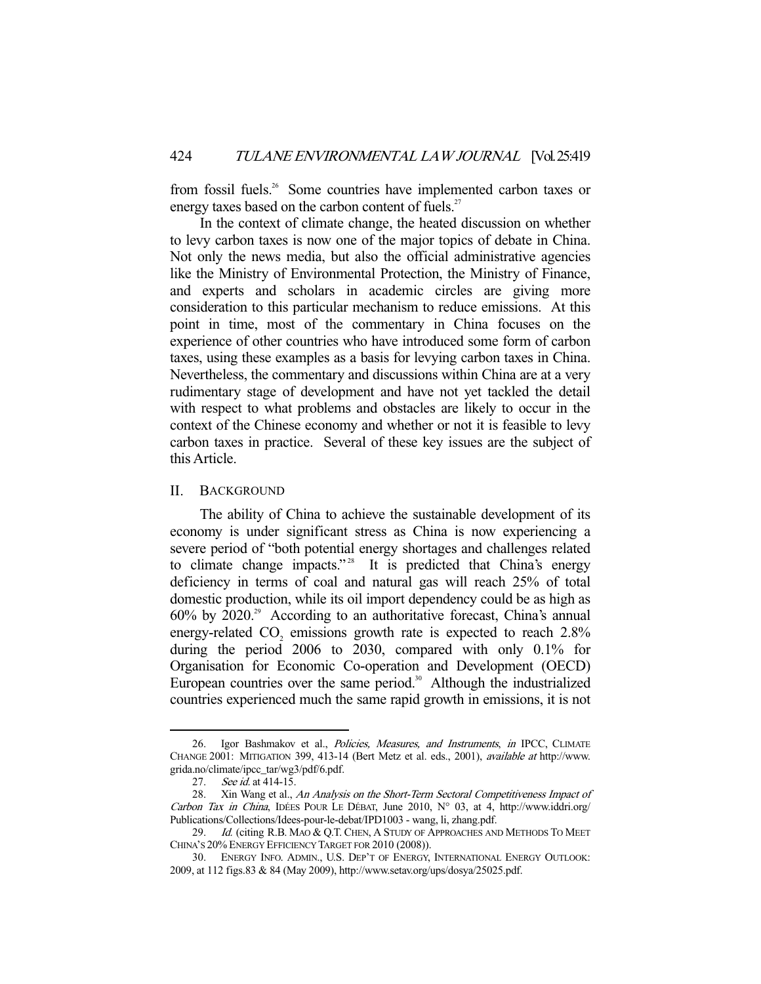from fossil fuels.<sup>26</sup> Some countries have implemented carbon taxes or energy taxes based on the carbon content of fuels.<sup>27</sup>

 In the context of climate change, the heated discussion on whether to levy carbon taxes is now one of the major topics of debate in China. Not only the news media, but also the official administrative agencies like the Ministry of Environmental Protection, the Ministry of Finance, and experts and scholars in academic circles are giving more consideration to this particular mechanism to reduce emissions. At this point in time, most of the commentary in China focuses on the experience of other countries who have introduced some form of carbon taxes, using these examples as a basis for levying carbon taxes in China. Nevertheless, the commentary and discussions within China are at a very rudimentary stage of development and have not yet tackled the detail with respect to what problems and obstacles are likely to occur in the context of the Chinese economy and whether or not it is feasible to levy carbon taxes in practice. Several of these key issues are the subject of this Article.

# II. BACKGROUND

 The ability of China to achieve the sustainable development of its economy is under significant stress as China is now experiencing a severe period of "both potential energy shortages and challenges related to climate change impacts."<sup>28</sup> It is predicted that China's energy deficiency in terms of coal and natural gas will reach 25% of total domestic production, while its oil import dependency could be as high as  $60\%$  by  $2020.^{29}$  According to an authoritative forecast, China's annual energy-related  $CO<sub>2</sub>$  emissions growth rate is expected to reach 2.8% during the period 2006 to 2030, compared with only 0.1% for Organisation for Economic Co-operation and Development (OECD) European countries over the same period.<sup>30</sup> Although the industrialized countries experienced much the same rapid growth in emissions, it is not

<sup>26.</sup> Igor Bashmakov et al., Policies, Measures, and Instruments, in IPCC, CLIMATE CHANGE 2001: MITIGATION 399, 413-14 (Bert Metz et al. eds., 2001), available at http://www. grida.no/climate/ipcc\_tar/wg3/pdf/6.pdf.

<sup>27.</sup> *See id.* at 414-15.

<sup>28.</sup> Xin Wang et al., An Analysis on the Short-Term Sectoral Competitiveness Impact of Carbon Tax in China, IDÉES POUR LE DÉBAT, June 2010, N° 03, at 4, http://www.iddri.org/ Publications/Collections/Idees-pour-le-debat/IPD1003 - wang, li, zhang.pdf.

<sup>29.</sup> Id. (citing R.B. MAO & Q.T. CHEN, A STUDY OF APPROACHES AND METHODS TO MEET CHINA'S 20% ENERGY EFFICIENCY TARGET FOR 2010 (2008)).

 <sup>30.</sup> ENERGY INFO. ADMIN., U.S. DEP'T OF ENERGY, INTERNATIONAL ENERGY OUTLOOK: 2009, at 112 figs.83 & 84 (May 2009), http://www.setav.org/ups/dosya/25025.pdf.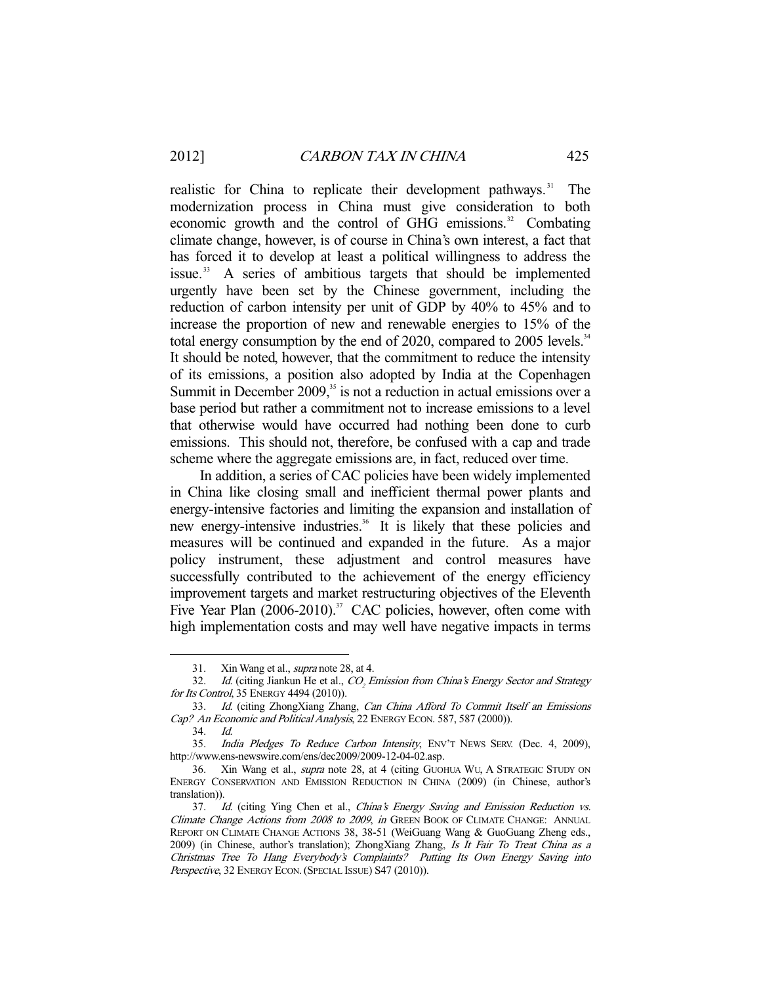realistic for China to replicate their development pathways.<sup>31</sup> The modernization process in China must give consideration to both economic growth and the control of GHG emissions.<sup>32</sup> Combating climate change, however, is of course in China's own interest, a fact that has forced it to develop at least a political willingness to address the issue. 33 A series of ambitious targets that should be implemented urgently have been set by the Chinese government, including the reduction of carbon intensity per unit of GDP by 40% to 45% and to increase the proportion of new and renewable energies to 15% of the total energy consumption by the end of 2020, compared to 2005 levels.<sup>34</sup> It should be noted, however, that the commitment to reduce the intensity of its emissions, a position also adopted by India at the Copenhagen Summit in December  $2009$ ,<sup>35</sup> is not a reduction in actual emissions over a base period but rather a commitment not to increase emissions to a level that otherwise would have occurred had nothing been done to curb emissions. This should not, therefore, be confused with a cap and trade scheme where the aggregate emissions are, in fact, reduced over time.

 In addition, a series of CAC policies have been widely implemented in China like closing small and inefficient thermal power plants and energy-intensive factories and limiting the expansion and installation of new energy-intensive industries.<sup>36</sup> It is likely that these policies and measures will be continued and expanded in the future. As a major policy instrument, these adjustment and control measures have successfully contributed to the achievement of the energy efficiency improvement targets and market restructuring objectives of the Eleventh Five Year Plan  $(2006-2010)$ .<sup>37</sup> CAC policies, however, often come with high implementation costs and may well have negative impacts in terms

<sup>31.</sup> Xin Wang et al., *supra* note 28, at 4.<br>32. *Id.* (citing Jiankun He et al., *CO. E* 

<sup>32.</sup> *Id.* (citing Jiankun He et al.,  $CO<sub>2</sub>$  *Emission from China's Energy Sector and Strategy* for Its Control, 35 ENERGY 4494 (2010)).

 <sup>33.</sup> Id. (citing ZhongXiang Zhang, Can China Afford To Commit Itself an Emissions Cap? An Economic and Political Analysis, 22 ENERGY ECON. 587, 587 (2000)).

 <sup>34.</sup> Id.

<sup>35.</sup> India Pledges To Reduce Carbon Intensity, ENV'T NEWS SERV. (Dec. 4, 2009), http://www.ens-newswire.com/ens/dec2009/2009-12-04-02.asp.

 <sup>36.</sup> Xin Wang et al., supra note 28, at 4 (citing GUOHUA WU, A STRATEGIC STUDY ON ENERGY CONSERVATION AND EMISSION REDUCTION IN CHINA (2009) (in Chinese, author's translation)).

<sup>37.</sup> Id. (citing Ying Chen et al., China's Energy Saving and Emission Reduction vs. Climate Change Actions from 2008 to 2009, in GREEN BOOK OF CLIMATE CHANGE: ANNUAL REPORT ON CLIMATE CHANGE ACTIONS 38, 38-51 (WeiGuang Wang & GuoGuang Zheng eds., 2009) (in Chinese, author's translation); ZhongXiang Zhang, Is It Fair To Treat China as a Christmas Tree To Hang Everybody's Complaints? Putting Its Own Energy Saving into Perspective, 32 ENERGY ECON. (SPECIAL ISSUE) S47 (2010)).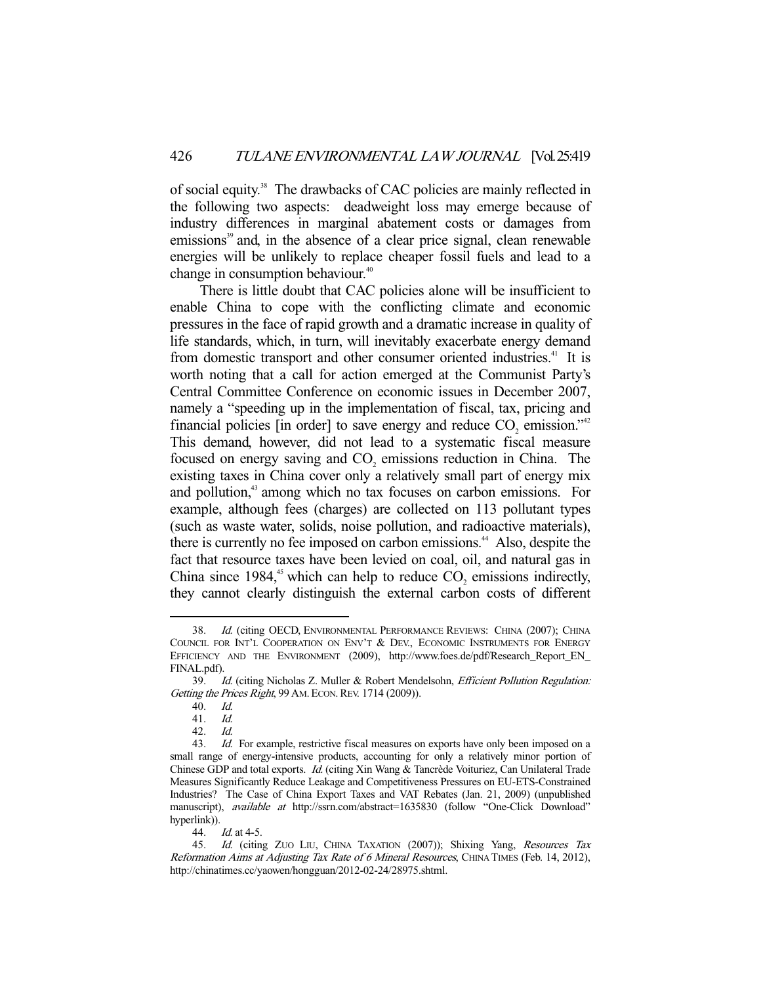of social equity.<sup>38</sup> The drawbacks of CAC policies are mainly reflected in the following two aspects: deadweight loss may emerge because of industry differences in marginal abatement costs or damages from emissions<sup>39</sup> and, in the absence of a clear price signal, clean renewable energies will be unlikely to replace cheaper fossil fuels and lead to a change in consumption behaviour.<sup>40</sup>

 There is little doubt that CAC policies alone will be insufficient to enable China to cope with the conflicting climate and economic pressures in the face of rapid growth and a dramatic increase in quality of life standards, which, in turn, will inevitably exacerbate energy demand from domestic transport and other consumer oriented industries.<sup>41</sup> It is worth noting that a call for action emerged at the Communist Party's Central Committee Conference on economic issues in December 2007, namely a "speeding up in the implementation of fiscal, tax, pricing and financial policies [in order] to save energy and reduce  $CO_2$  emission."<sup>42</sup> This demand, however, did not lead to a systematic fiscal measure focused on energy saving and  $CO<sub>2</sub>$  emissions reduction in China. The existing taxes in China cover only a relatively small part of energy mix and pollution,<sup>43</sup> among which no tax focuses on carbon emissions. For example, although fees (charges) are collected on 113 pollutant types (such as waste water, solids, noise pollution, and radioactive materials), there is currently no fee imposed on carbon emissions.<sup>44</sup> Also, despite the fact that resource taxes have been levied on coal, oil, and natural gas in China since 1984,<sup>45</sup> which can help to reduce  $CO_2$  emissions indirectly, they cannot clearly distinguish the external carbon costs of different

-

44. Id. at 4-5.

 <sup>38.</sup> Id. (citing OECD, ENVIRONMENTAL PERFORMANCE REVIEWS: CHINA (2007); CHINA COUNCIL FOR INT'L COOPERATION ON ENV'T & DEV., ECONOMIC INSTRUMENTS FOR ENERGY EFFICIENCY AND THE ENVIRONMENT (2009), http://www.foes.de/pdf/Research\_Report\_EN\_ FINAL.pdf).

<sup>39.</sup> Id. (citing Nicholas Z. Muller & Robert Mendelsohn, *Efficient Pollution Regulation:* Getting the Prices Right, 99 AM. ECON. REV. 1714 (2009)).

 <sup>40.</sup> Id.

 <sup>41.</sup> Id.

 <sup>42.</sup> Id.

<sup>43.</sup> Id. For example, restrictive fiscal measures on exports have only been imposed on a small range of energy-intensive products, accounting for only a relatively minor portion of Chinese GDP and total exports. Id. (citing Xin Wang & Tancrède Voituriez, Can Unilateral Trade Measures Significantly Reduce Leakage and Competitiveness Pressures on EU-ETS-Constrained Industries? The Case of China Export Taxes and VAT Rebates (Jan. 21, 2009) (unpublished manuscript), available at http://ssrn.com/abstract=1635830 (follow "One-Click Download" hyperlink)).

 <sup>45.</sup> Id. (citing ZUO LIU, CHINA TAXATION (2007)); Shixing Yang, Resources Tax Reformation Aims at Adjusting Tax Rate of 6 Mineral Resources, CHINA TIMES (Feb. 14, 2012), http://chinatimes.cc/yaowen/hongguan/2012-02-24/28975.shtml.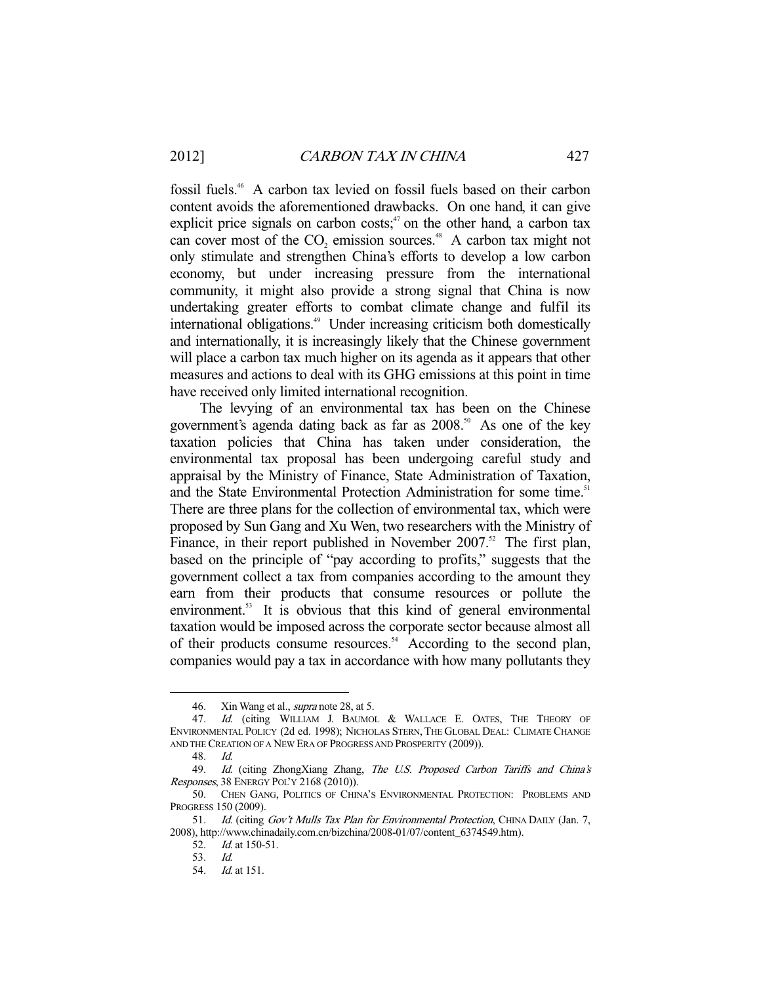fossil fuels.46 A carbon tax levied on fossil fuels based on their carbon content avoids the aforementioned drawbacks. On one hand, it can give explicit price signals on carbon  $costs$ ;<sup>47</sup> on the other hand, a carbon tax can cover most of the  $CO_2$  emission sources.<sup>48</sup> A carbon tax might not only stimulate and strengthen China's efforts to develop a low carbon economy, but under increasing pressure from the international community, it might also provide a strong signal that China is now undertaking greater efforts to combat climate change and fulfil its international obligations.49 Under increasing criticism both domestically and internationally, it is increasingly likely that the Chinese government will place a carbon tax much higher on its agenda as it appears that other measures and actions to deal with its GHG emissions at this point in time have received only limited international recognition.

 The levying of an environmental tax has been on the Chinese government's agenda dating back as far as  $2008$ .<sup>50</sup> As one of the key taxation policies that China has taken under consideration, the environmental tax proposal has been undergoing careful study and appraisal by the Ministry of Finance, State Administration of Taxation, and the State Environmental Protection Administration for some time.<sup>51</sup> There are three plans for the collection of environmental tax, which were proposed by Sun Gang and Xu Wen, two researchers with the Ministry of Finance, in their report published in November 2007.<sup>52</sup> The first plan, based on the principle of "pay according to profits," suggests that the government collect a tax from companies according to the amount they earn from their products that consume resources or pollute the environment.<sup>53</sup> It is obvious that this kind of general environmental taxation would be imposed across the corporate sector because almost all of their products consume resources.<sup>54</sup> According to the second plan, companies would pay a tax in accordance with how many pollutants they

<sup>46.</sup> Xin Wang et al., *supra* note 28, at 5.

<sup>47.</sup> Id. (citing WILLIAM J. BAUMOL & WALLACE E. OATES, THE THEORY OF ENVIRONMENTAL POLICY (2d ed. 1998); NICHOLAS STERN, THE GLOBAL DEAL: CLIMATE CHANGE AND THE CREATION OF A NEW ERA OF PROGRESS AND PROSPERITY (2009)).

 <sup>48.</sup> Id.

<sup>49.</sup> Id. (citing ZhongXiang Zhang, The U.S. Proposed Carbon Tariffs and China's Responses, 38 ENERGY POL'Y 2168 (2010)).

 <sup>50.</sup> CHEN GANG, POLITICS OF CHINA'S ENVIRONMENTAL PROTECTION: PROBLEMS AND PROGRESS 150 (2009).

<sup>51.</sup> Id. (citing Gov't Mulls Tax Plan for Environmental Protection, CHINA DAILY (Jan. 7, 2008), http://www.chinadaily.com.cn/bizchina/2008-01/07/content\_6374549.htm).

 <sup>52.</sup> Id. at 150-51.

 <sup>53.</sup> Id.

 <sup>54.</sup> Id. at 151.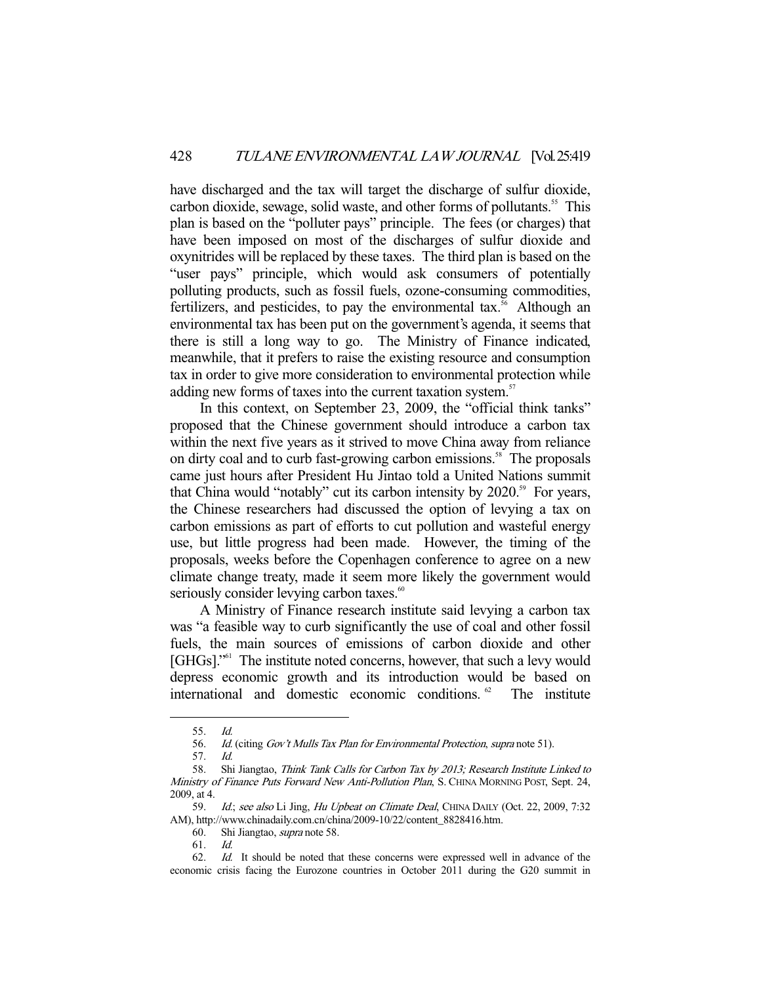have discharged and the tax will target the discharge of sulfur dioxide, carbon dioxide, sewage, solid waste, and other forms of pollutants.<sup>55</sup> This plan is based on the "polluter pays" principle. The fees (or charges) that have been imposed on most of the discharges of sulfur dioxide and oxynitrides will be replaced by these taxes. The third plan is based on the "user pays" principle, which would ask consumers of potentially polluting products, such as fossil fuels, ozone-consuming commodities, fertilizers, and pesticides, to pay the environmental  $tax.^{56}$  Although an environmental tax has been put on the government's agenda, it seems that there is still a long way to go. The Ministry of Finance indicated, meanwhile, that it prefers to raise the existing resource and consumption tax in order to give more consideration to environmental protection while adding new forms of taxes into the current taxation system.<sup>57</sup>

 In this context, on September 23, 2009, the "official think tanks" proposed that the Chinese government should introduce a carbon tax within the next five years as it strived to move China away from reliance on dirty coal and to curb fast-growing carbon emissions.<sup>58</sup> The proposals came just hours after President Hu Jintao told a United Nations summit that China would "notably" cut its carbon intensity by  $2020$ .<sup>59</sup> For years, the Chinese researchers had discussed the option of levying a tax on carbon emissions as part of efforts to cut pollution and wasteful energy use, but little progress had been made. However, the timing of the proposals, weeks before the Copenhagen conference to agree on a new climate change treaty, made it seem more likely the government would seriously consider levying carbon taxes.<sup>60</sup>

 A Ministry of Finance research institute said levying a carbon tax was "a feasible way to curb significantly the use of coal and other fossil fuels, the main sources of emissions of carbon dioxide and other [GHGs]."<sup>61</sup> The institute noted concerns, however, that such a levy would depress economic growth and its introduction would be based on international and domestic economic conditions.<sup>62</sup> The institute

 <sup>55.</sup> Id.

 <sup>56.</sup> Id. (citing Gov't Mulls Tax Plan for Environmental Protection, supra note 51).

 <sup>57.</sup> Id.

<sup>58.</sup> Shi Jiangtao, Think Tank Calls for Carbon Tax by 2013; Research Institute Linked to Ministry of Finance Puts Forward New Anti-Pollution Plan, S. CHINA MORNING POST, Sept. 24, 2009, at 4.

<sup>59.</sup> Id.; see also Li Jing, Hu Upbeat on Climate Deal, CHINA DAILY (Oct. 22, 2009, 7:32 AM), http://www.chinadaily.com.cn/china/2009-10/22/content\_8828416.htm.

 <sup>60.</sup> Shi Jiangtao, supra note 58.

 <sup>61.</sup> Id.

 <sup>62.</sup> Id. It should be noted that these concerns were expressed well in advance of the economic crisis facing the Eurozone countries in October 2011 during the G20 summit in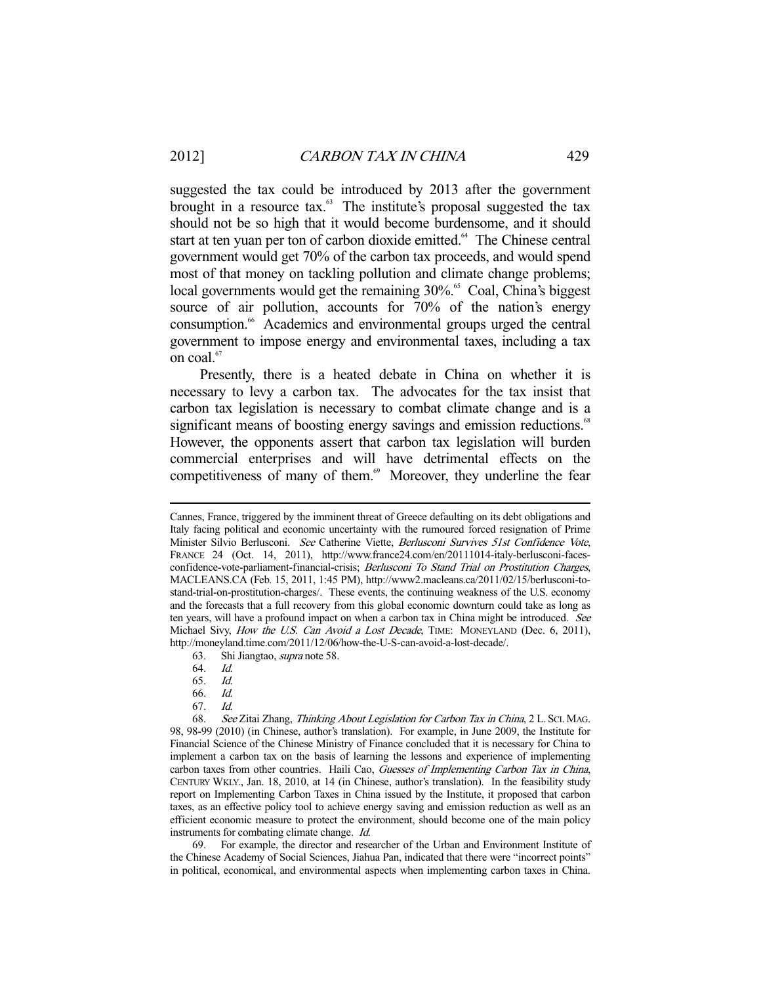suggested the tax could be introduced by 2013 after the government brought in a resource tax.<sup>63</sup> The institute's proposal suggested the tax should not be so high that it would become burdensome, and it should start at ten yuan per ton of carbon dioxide emitted.<sup>64</sup> The Chinese central government would get 70% of the carbon tax proceeds, and would spend most of that money on tackling pollution and climate change problems; local governments would get the remaining 30%.<sup>65</sup> Coal, China's biggest source of air pollution, accounts for 70% of the nation's energy consumption.66 Academics and environmental groups urged the central government to impose energy and environmental taxes, including a tax on coal.<sup>67</sup>

 Presently, there is a heated debate in China on whether it is necessary to levy a carbon tax. The advocates for the tax insist that carbon tax legislation is necessary to combat climate change and is a significant means of boosting energy savings and emission reductions.<sup>68</sup> However, the opponents assert that carbon tax legislation will burden commercial enterprises and will have detrimental effects on the competitiveness of many of them.<sup>69</sup> Moreover, they underline the fear

63. Shi Jiangtao, supra note 58.

-

67. Id.

 68. See Zitai Zhang, Thinking About Legislation for Carbon Tax in China, 2 L. SCI. MAG. 98, 98-99 (2010) (in Chinese, author's translation). For example, in June 2009, the Institute for Financial Science of the Chinese Ministry of Finance concluded that it is necessary for China to implement a carbon tax on the basis of learning the lessons and experience of implementing carbon taxes from other countries. Haili Cao, Guesses of Implementing Carbon Tax in China, CENTURY WKLY., Jan. 18, 2010, at 14 (in Chinese, author's translation). In the feasibility study report on Implementing Carbon Taxes in China issued by the Institute, it proposed that carbon taxes, as an effective policy tool to achieve energy saving and emission reduction as well as an efficient economic measure to protect the environment, should become one of the main policy instruments for combating climate change. Id.

 69. For example, the director and researcher of the Urban and Environment Institute of the Chinese Academy of Social Sciences, Jiahua Pan, indicated that there were "incorrect points" in political, economical, and environmental aspects when implementing carbon taxes in China.

Cannes, France, triggered by the imminent threat of Greece defaulting on its debt obligations and Italy facing political and economic uncertainty with the rumoured forced resignation of Prime Minister Silvio Berlusconi. See Catherine Viette, Berlusconi Survives 51st Confidence Vote, FRANCE 24 (Oct. 14, 2011), http://www.france24.com/en/20111014-italy-berlusconi-facesconfidence-vote-parliament-financial-crisis; Berlusconi To Stand Trial on Prostitution Charges, MACLEANS.CA (Feb. 15, 2011, 1:45 PM), http://www2.macleans.ca/2011/02/15/berlusconi-tostand-trial-on-prostitution-charges/. These events, the continuing weakness of the U.S. economy and the forecasts that a full recovery from this global economic downturn could take as long as ten years, will have a profound impact on when a carbon tax in China might be introduced. See Michael Sivy, How the U.S. Can Avoid a Lost Decade, TIME: MONEYLAND (Dec. 6, 2011), http://moneyland.time.com/2011/12/06/how-the-U-S-can-avoid-a-lost-decade/.

 <sup>64.</sup> Id.

 <sup>65.</sup> Id.

 <sup>66.</sup> Id.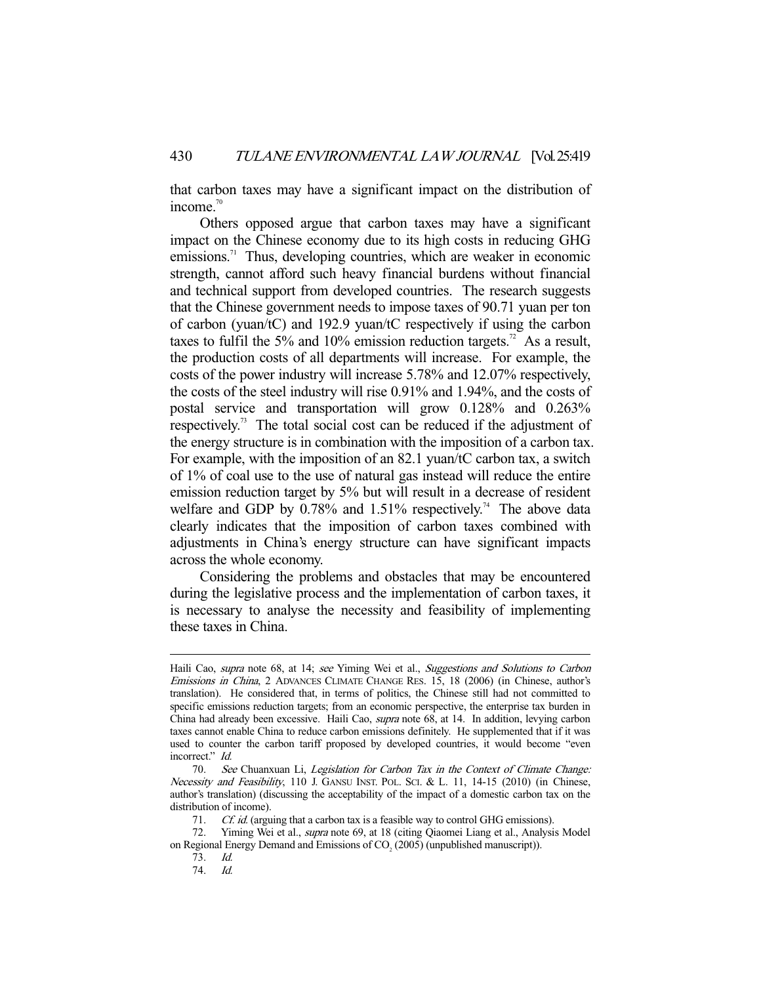that carbon taxes may have a significant impact on the distribution of income.<sup>70</sup>

 Others opposed argue that carbon taxes may have a significant impact on the Chinese economy due to its high costs in reducing GHG emissions.<sup>71</sup> Thus, developing countries, which are weaker in economic strength, cannot afford such heavy financial burdens without financial and technical support from developed countries. The research suggests that the Chinese government needs to impose taxes of 90.71 yuan per ton of carbon (yuan/tC) and 192.9 yuan/tC respectively if using the carbon taxes to fulfil the 5% and 10% emission reduction targets.<sup>72</sup> As a result, the production costs of all departments will increase. For example, the costs of the power industry will increase 5.78% and 12.07% respectively, the costs of the steel industry will rise 0.91% and 1.94%, and the costs of postal service and transportation will grow 0.128% and 0.263% respectively.73 The total social cost can be reduced if the adjustment of the energy structure is in combination with the imposition of a carbon tax. For example, with the imposition of an 82.1 yuan/tC carbon tax, a switch of 1% of coal use to the use of natural gas instead will reduce the entire emission reduction target by 5% but will result in a decrease of resident welfare and GDP by  $0.78\%$  and  $1.51\%$  respectively.<sup>74</sup> The above data clearly indicates that the imposition of carbon taxes combined with adjustments in China's energy structure can have significant impacts across the whole economy.

 Considering the problems and obstacles that may be encountered during the legislative process and the implementation of carbon taxes, it is necessary to analyse the necessity and feasibility of implementing these taxes in China.

Haili Cao, supra note 68, at 14; see Yiming Wei et al., Suggestions and Solutions to Carbon Emissions in China, 2 ADVANCES CLIMATE CHANGE RES. 15, 18 (2006) (in Chinese, author's translation). He considered that, in terms of politics, the Chinese still had not committed to specific emissions reduction targets; from an economic perspective, the enterprise tax burden in China had already been excessive. Haili Cao, supra note 68, at 14. In addition, levying carbon taxes cannot enable China to reduce carbon emissions definitely. He supplemented that if it was used to counter the carbon tariff proposed by developed countries, it would become "even incorrect." Id.

 <sup>70.</sup> See Chuanxuan Li, Legislation for Carbon Tax in the Context of Climate Change: Necessity and Feasibility, 110 J. GANSU INST. POL. SCI. & L. 11, 14-15 (2010) (in Chinese, author's translation) (discussing the acceptability of the impact of a domestic carbon tax on the distribution of income).

<sup>71.</sup> Cf. id. (arguing that a carbon tax is a feasible way to control GHG emissions).

<sup>72.</sup> Yiming Wei et al., *supra* note 69, at 18 (citing Qiaomei Liang et al., Analysis Model on Regional Energy Demand and Emissions of  $CO<sub>2</sub>$  (2005) (unpublished manuscript)).

 <sup>73.</sup> Id.

 <sup>74.</sup> Id.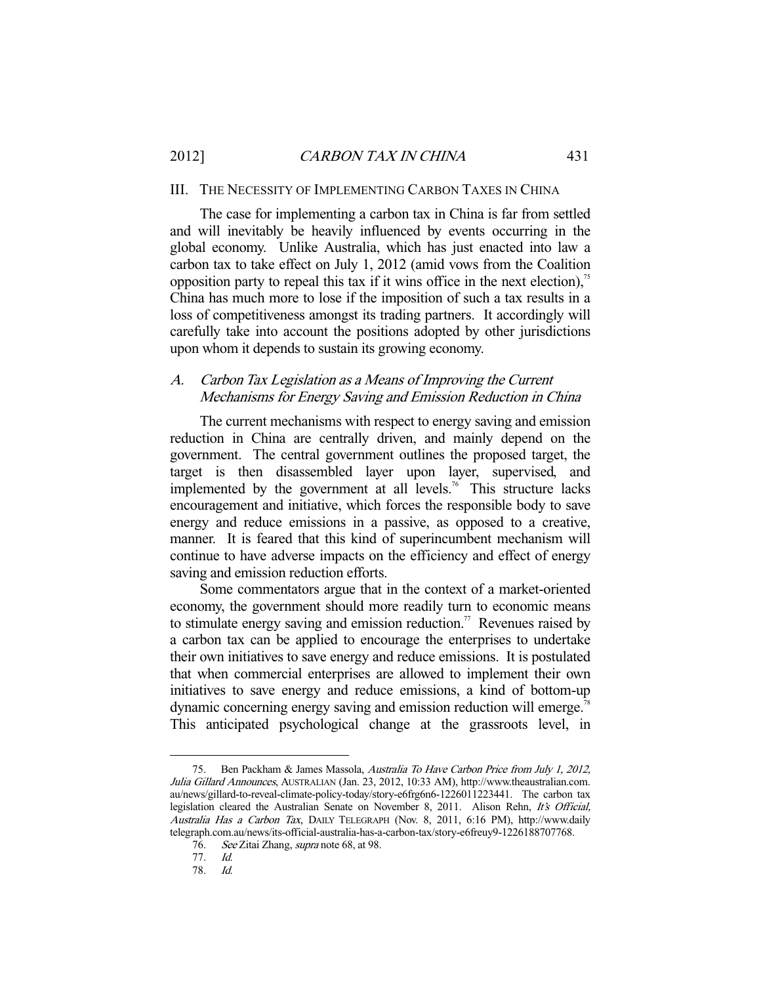#### III. THE NECESSITY OF IMPLEMENTING CARBON TAXES IN CHINA

 The case for implementing a carbon tax in China is far from settled and will inevitably be heavily influenced by events occurring in the global economy. Unlike Australia, which has just enacted into law a carbon tax to take effect on July 1, 2012 (amid vows from the Coalition opposition party to repeal this tax if it wins office in the next election), $\frac{75}{10}$ China has much more to lose if the imposition of such a tax results in a loss of competitiveness amongst its trading partners. It accordingly will carefully take into account the positions adopted by other jurisdictions upon whom it depends to sustain its growing economy.

# A. Carbon Tax Legislation as a Means of Improving the Current Mechanisms for Energy Saving and Emission Reduction in China

 The current mechanisms with respect to energy saving and emission reduction in China are centrally driven, and mainly depend on the government. The central government outlines the proposed target, the target is then disassembled layer upon layer, supervised, and implemented by the government at all levels.<sup>76</sup> This structure lacks encouragement and initiative, which forces the responsible body to save energy and reduce emissions in a passive, as opposed to a creative, manner. It is feared that this kind of superincumbent mechanism will continue to have adverse impacts on the efficiency and effect of energy saving and emission reduction efforts.

 Some commentators argue that in the context of a market-oriented economy, the government should more readily turn to economic means to stimulate energy saving and emission reduction.<sup>77</sup> Revenues raised by a carbon tax can be applied to encourage the enterprises to undertake their own initiatives to save energy and reduce emissions. It is postulated that when commercial enterprises are allowed to implement their own initiatives to save energy and reduce emissions, a kind of bottom-up dynamic concerning energy saving and emission reduction will emerge.<sup>78</sup> This anticipated psychological change at the grassroots level, in

 <sup>75.</sup> Ben Packham & James Massola, Australia To Have Carbon Price from July 1, 2012, Julia Gillard Announces, AUSTRALIAN (Jan. 23, 2012, 10:33 AM), http://www.theaustralian.com. au/news/gillard-to-reveal-climate-policy-today/story-e6frg6n6-1226011223441. The carbon tax legislation cleared the Australian Senate on November 8, 2011. Alison Rehn, It's Official, Australia Has a Carbon Tax, DAILY TELEGRAPH (Nov. 8, 2011, 6:16 PM), http://www.daily telegraph.com.au/news/its-official-australia-has-a-carbon-tax/story-e6freuy9-1226188707768.

<sup>76.</sup> See Zitai Zhang, *supra* note 68, at 98.

 <sup>77.</sup> Id.

 <sup>78.</sup> Id.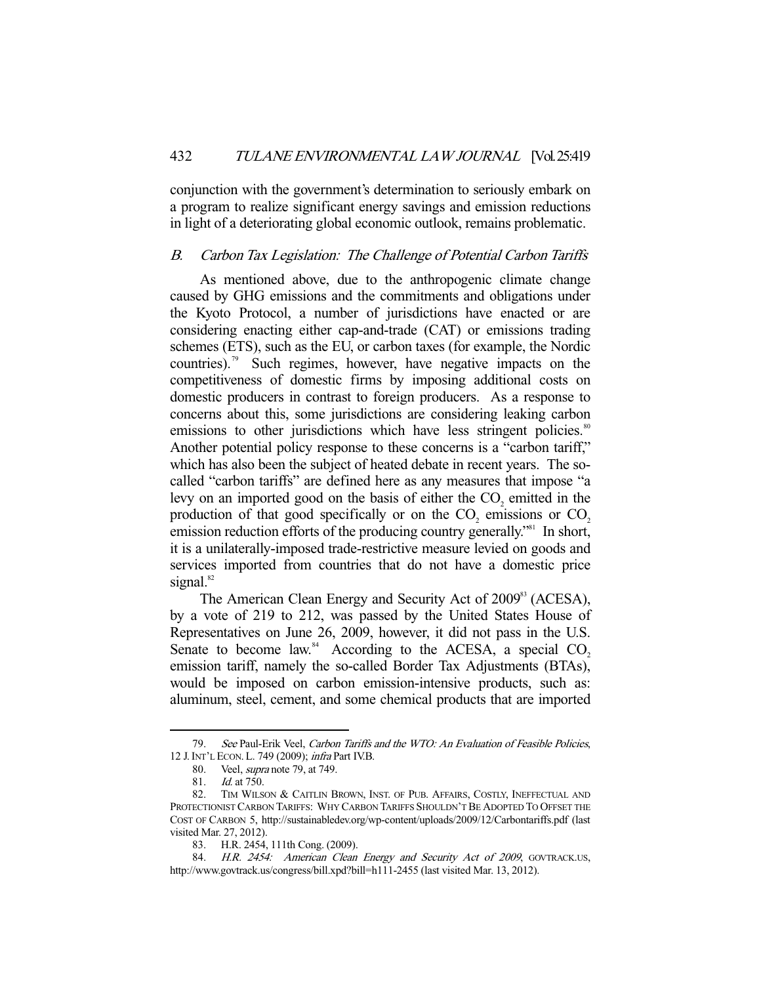conjunction with the government's determination to seriously embark on a program to realize significant energy savings and emission reductions in light of a deteriorating global economic outlook, remains problematic.

#### B. Carbon Tax Legislation: The Challenge of Potential Carbon Tariffs

 As mentioned above, due to the anthropogenic climate change caused by GHG emissions and the commitments and obligations under the Kyoto Protocol, a number of jurisdictions have enacted or are considering enacting either cap-and-trade (CAT) or emissions trading schemes (ETS), such as the EU, or carbon taxes (for example, the Nordic countries).<sup>79</sup> Such regimes, however, have negative impacts on the competitiveness of domestic firms by imposing additional costs on domestic producers in contrast to foreign producers. As a response to concerns about this, some jurisdictions are considering leaking carbon emissions to other jurisdictions which have less stringent policies.<sup>80</sup> Another potential policy response to these concerns is a "carbon tariff," which has also been the subject of heated debate in recent years. The socalled "carbon tariffs" are defined here as any measures that impose "a levy on an imported good on the basis of either the  $CO<sub>2</sub>$  emitted in the production of that good specifically or on the  $CO_2$  emissions or  $CO_2$ emission reduction efforts of the producing country generally."<sup>81</sup> In short, it is a unilaterally-imposed trade-restrictive measure levied on goods and services imported from countries that do not have a domestic price signal. $82$ 

The American Clean Energy and Security Act of 2009<sup>83</sup> (ACESA), by a vote of 219 to 212, was passed by the United States House of Representatives on June 26, 2009, however, it did not pass in the U.S. Senate to become law. $84$  According to the ACESA, a special CO<sub>2</sub> emission tariff, namely the so-called Border Tax Adjustments (BTAs), would be imposed on carbon emission-intensive products, such as: aluminum, steel, cement, and some chemical products that are imported

<sup>79.</sup> See Paul-Erik Veel, Carbon Tariffs and the WTO: An Evaluation of Feasible Policies, 12 J.INT'L ECON. L. 749 (2009); infra Part IV.B.

 <sup>80.</sup> Veel, supra note 79, at 749.

 <sup>81.</sup> Id. at 750.

 <sup>82.</sup> TIM WILSON & CAITLIN BROWN, INST. OF PUB. AFFAIRS, COSTLY, INEFFECTUAL AND PROTECTIONIST CARBON TARIFFS: WHY CARBON TARIFFS SHOULDN'T BE ADOPTED TO OFFSET THE COST OF CARBON 5, http://sustainabledev.org/wp-content/uploads/2009/12/Carbontariffs.pdf (last visited Mar. 27, 2012).

 <sup>83.</sup> H.R. 2454, 111th Cong. (2009).

<sup>84.</sup> H.R. 2454: American Clean Energy and Security Act of 2009, GOVTRACK.US, http://www.govtrack.us/congress/bill.xpd?bill=h111-2455 (last visited Mar. 13, 2012).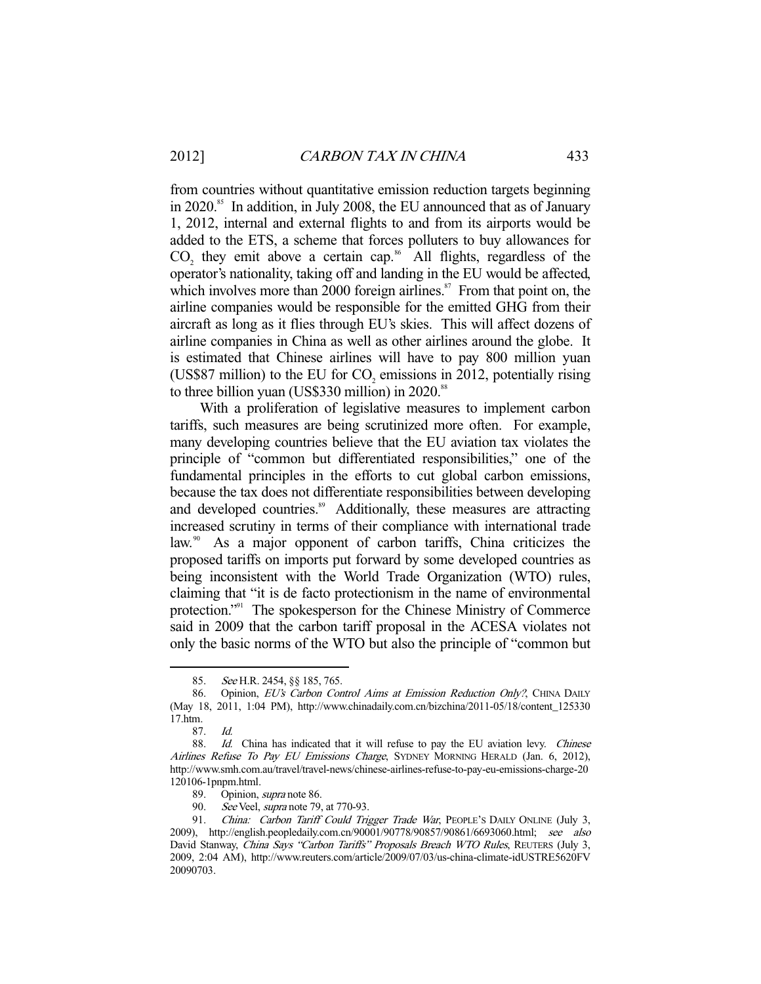from countries without quantitative emission reduction targets beginning in 2020.<sup>85</sup> In addition, in July 2008, the EU announced that as of January 1, 2012, internal and external flights to and from its airports would be added to the ETS, a scheme that forces polluters to buy allowances for  $CO<sub>2</sub>$  they emit above a certain cap.<sup>86</sup> All flights, regardless of the operator's nationality, taking off and landing in the EU would be affected, which involves more than 2000 foreign airlines. $\frac{s}{n}$  From that point on, the airline companies would be responsible for the emitted GHG from their aircraft as long as it flies through EU's skies. This will affect dozens of airline companies in China as well as other airlines around the globe. It is estimated that Chinese airlines will have to pay 800 million yuan (US\$87 million) to the EU for  $CO_2$  emissions in 2012, potentially rising to three billion yuan (US\$330 million) in 2020.<sup>88</sup>

 With a proliferation of legislative measures to implement carbon tariffs, such measures are being scrutinized more often. For example, many developing countries believe that the EU aviation tax violates the principle of "common but differentiated responsibilities," one of the fundamental principles in the efforts to cut global carbon emissions, because the tax does not differentiate responsibilities between developing and developed countries.<sup>89</sup> Additionally, these measures are attracting increased scrutiny in terms of their compliance with international trade law.<sup>90</sup> As a major opponent of carbon tariffs, China criticizes the proposed tariffs on imports put forward by some developed countries as being inconsistent with the World Trade Organization (WTO) rules, claiming that "it is de facto protectionism in the name of environmental protection."<sup>91</sup> The spokesperson for the Chinese Ministry of Commerce said in 2009 that the carbon tariff proposal in the ACESA violates not only the basic norms of the WTO but also the principle of "common but

<sup>85.</sup> See H.R. 2454, §§ 185, 765.

<sup>86.</sup> Opinion, EU's Carbon Control Aims at Emission Reduction Only?, CHINA DAILY (May 18, 2011, 1:04 PM), http://www.chinadaily.com.cn/bizchina/2011-05/18/content\_125330 17.htm.

 <sup>87.</sup> Id.

 <sup>88.</sup> Id. China has indicated that it will refuse to pay the EU aviation levy. Chinese Airlines Refuse To Pay EU Emissions Charge, SYDNEY MORNING HERALD (Jan. 6, 2012), http://www.smh.com.au/travel/travel-news/chinese-airlines-refuse-to-pay-eu-emissions-charge-20 120106-1pnpm.html.

 <sup>89.</sup> Opinion, supra note 86.

<sup>90.</sup> See Veel, *supra* note 79, at 770-93.

<sup>91.</sup> China: Carbon Tariff Could Trigger Trade War, PEOPLE'S DAILY ONLINE (July 3, 2009), http://english.peopledaily.com.cn/90001/90778/90857/90861/6693060.html; see also David Stanway, China Says "Carbon Tariffs" Proposals Breach WTO Rules, REUTERS (July 3, 2009, 2:04 AM), http://www.reuters.com/article/2009/07/03/us-china-climate-idUSTRE5620FV 20090703.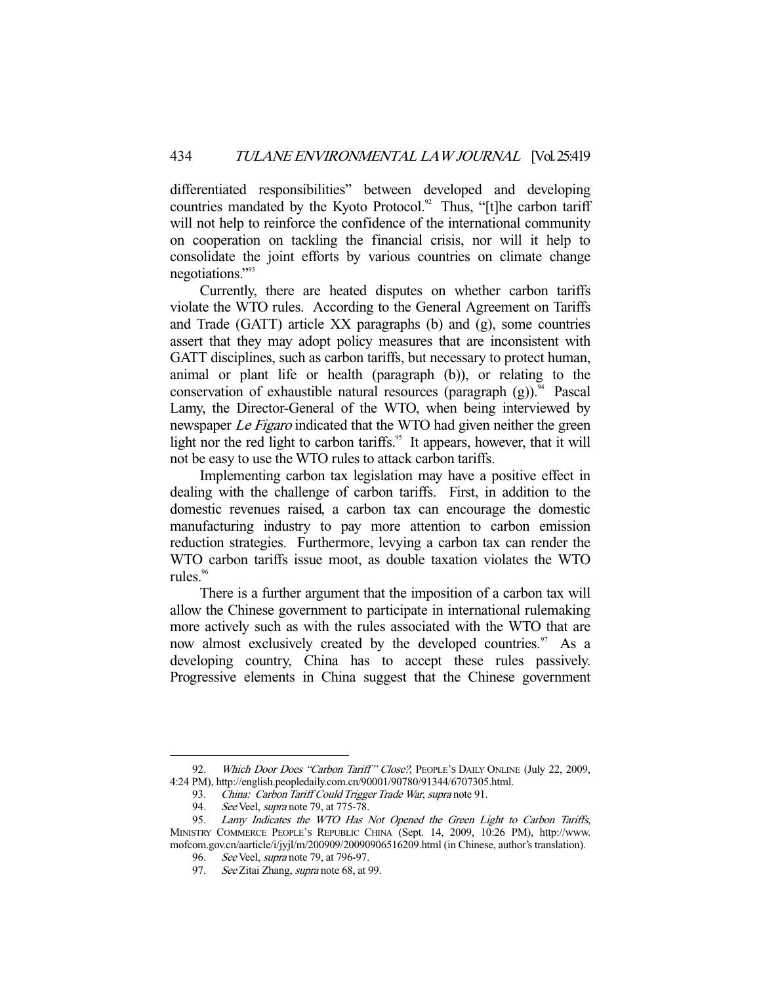differentiated responsibilities" between developed and developing countries mandated by the Kyoto Protocol.<sup>92</sup> Thus, "[t]he carbon tariff will not help to reinforce the confidence of the international community on cooperation on tackling the financial crisis, nor will it help to consolidate the joint efforts by various countries on climate change negotiations."93

 Currently, there are heated disputes on whether carbon tariffs violate the WTO rules. According to the General Agreement on Tariffs and Trade (GATT) article XX paragraphs (b) and (g), some countries assert that they may adopt policy measures that are inconsistent with GATT disciplines, such as carbon tariffs, but necessary to protect human, animal or plant life or health (paragraph (b)), or relating to the conservation of exhaustible natural resources (paragraph  $(g)$ ).<sup>94</sup> Pascal Lamy, the Director-General of the WTO, when being interviewed by newspaper *Le Figaro* indicated that the WTO had given neither the green light nor the red light to carbon tariffs.<sup>95</sup> It appears, however, that it will not be easy to use the WTO rules to attack carbon tariffs.

 Implementing carbon tax legislation may have a positive effect in dealing with the challenge of carbon tariffs. First, in addition to the domestic revenues raised, a carbon tax can encourage the domestic manufacturing industry to pay more attention to carbon emission reduction strategies. Furthermore, levying a carbon tax can render the WTO carbon tariffs issue moot, as double taxation violates the WTO rules.<sup>96</sup>

 There is a further argument that the imposition of a carbon tax will allow the Chinese government to participate in international rulemaking more actively such as with the rules associated with the WTO that are now almost exclusively created by the developed countries.<sup>97</sup> As a developing country, China has to accept these rules passively. Progressive elements in China suggest that the Chinese government

<sup>92.</sup> Which Door Does "Carbon Tariff" Close?, PEOPLE'S DAILY ONLINE (July 22, 2009, 4:24 PM), http://english.peopledaily.com.cn/90001/90780/91344/6707305.html.

<sup>93.</sup> China: Carbon Tariff Could Trigger Trade War, supra note 91.

<sup>94.</sup> See Veel, *supra* note 79, at 775-78.

 <sup>95.</sup> Lamy Indicates the WTO Has Not Opened the Green Light to Carbon Tariffs, MINISTRY COMMERCE PEOPLE'S REPUBLIC CHINA (Sept. 14, 2009, 10:26 PM), http://www. mofcom.gov.cn/aarticle/i/jyjl/m/200909/20090906516209.html (in Chinese, author's translation).

<sup>96.</sup> See Veel, *supra* note 79, at 796-97.

<sup>97.</sup> See Zitai Zhang, supra note 68, at 99.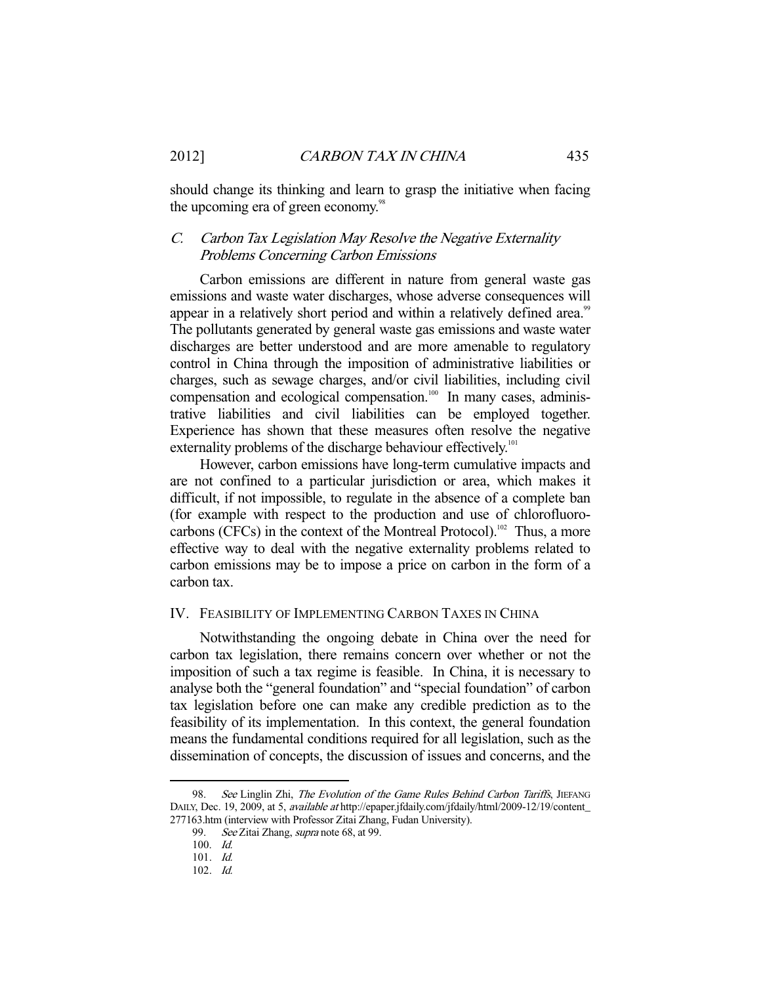should change its thinking and learn to grasp the initiative when facing the upcoming era of green economy.<sup>98</sup>

# C. Carbon Tax Legislation May Resolve the Negative Externality Problems Concerning Carbon Emissions

 Carbon emissions are different in nature from general waste gas emissions and waste water discharges, whose adverse consequences will appear in a relatively short period and within a relatively defined area.<sup>99</sup> The pollutants generated by general waste gas emissions and waste water discharges are better understood and are more amenable to regulatory control in China through the imposition of administrative liabilities or charges, such as sewage charges, and/or civil liabilities, including civil compensation and ecological compensation.<sup>100</sup> In many cases, administrative liabilities and civil liabilities can be employed together. Experience has shown that these measures often resolve the negative externality problems of the discharge behaviour effectively.<sup>101</sup>

 However, carbon emissions have long-term cumulative impacts and are not confined to a particular jurisdiction or area, which makes it difficult, if not impossible, to regulate in the absence of a complete ban (for example with respect to the production and use of chlorofluorocarbons (CFCs) in the context of the Montreal Protocol).<sup>102</sup> Thus, a more effective way to deal with the negative externality problems related to carbon emissions may be to impose a price on carbon in the form of a carbon tax.

#### IV. FEASIBILITY OF IMPLEMENTING CARBON TAXES IN CHINA

 Notwithstanding the ongoing debate in China over the need for carbon tax legislation, there remains concern over whether or not the imposition of such a tax regime is feasible. In China, it is necessary to analyse both the "general foundation" and "special foundation" of carbon tax legislation before one can make any credible prediction as to the feasibility of its implementation. In this context, the general foundation means the fundamental conditions required for all legislation, such as the dissemination of concepts, the discussion of issues and concerns, and the

<sup>98.</sup> See Linglin Zhi, The Evolution of the Game Rules Behind Carbon Tariffs, JIEFANG DAILY, Dec. 19, 2009, at 5, available at http://epaper.jfdaily.com/jfdaily/html/2009-12/19/content\_ 277163.htm (interview with Professor Zitai Zhang, Fudan University).

<sup>99.</sup> See Zitai Zhang, supra note 68, at 99.

 <sup>100.</sup> Id.

 <sup>101.</sup> Id.

 <sup>102.</sup> Id.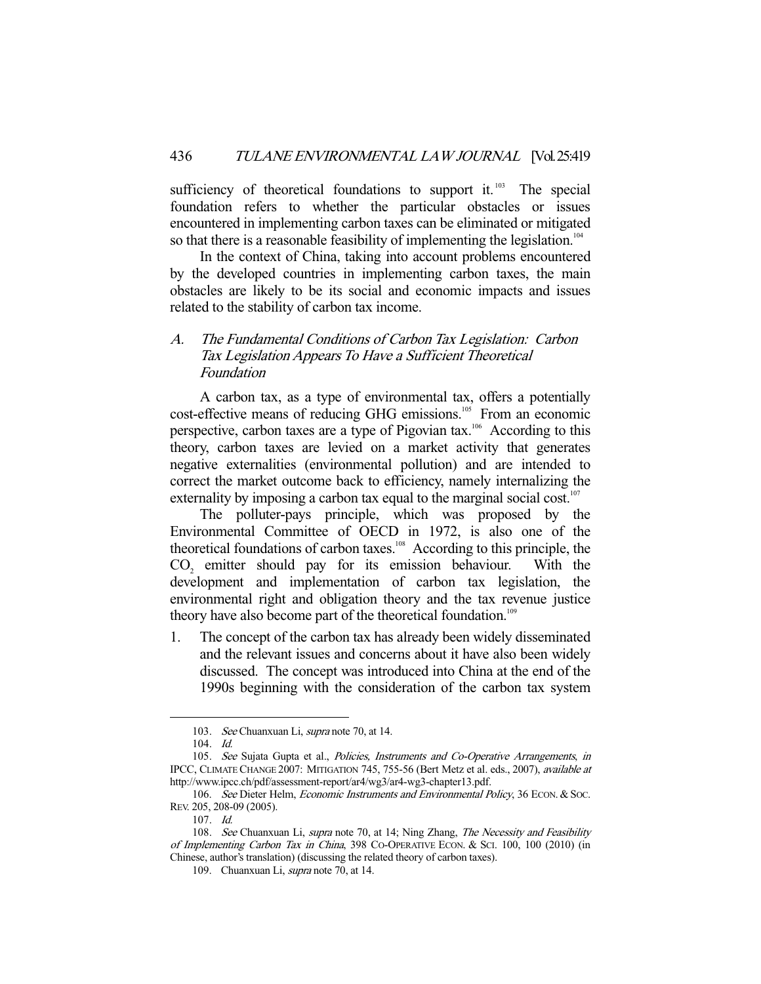sufficiency of theoretical foundations to support it.<sup>103</sup> The special foundation refers to whether the particular obstacles or issues encountered in implementing carbon taxes can be eliminated or mitigated so that there is a reasonable feasibility of implementing the legislation.<sup>104</sup>

 In the context of China, taking into account problems encountered by the developed countries in implementing carbon taxes, the main obstacles are likely to be its social and economic impacts and issues related to the stability of carbon tax income.

# A. The Fundamental Conditions of Carbon Tax Legislation: Carbon Tax Legislation Appears To Have a Sufficient Theoretical Foundation

 A carbon tax, as a type of environmental tax, offers a potentially cost-effective means of reducing GHG emissions.<sup>105</sup> From an economic perspective, carbon taxes are a type of Pigovian tax.<sup>106</sup> According to this theory, carbon taxes are levied on a market activity that generates negative externalities (environmental pollution) and are intended to correct the market outcome back to efficiency, namely internalizing the externality by imposing a carbon tax equal to the marginal social cost.<sup>107</sup>

 The polluter-pays principle, which was proposed by the Environmental Committee of OECD in 1972, is also one of the theoretical foundations of carbon taxes.<sup>108</sup> According to this principle, the  $CO<sub>2</sub>$  emitter should pay for its emission behaviour. With the development and implementation of carbon tax legislation, the environmental right and obligation theory and the tax revenue justice theory have also become part of the theoretical foundation.<sup>109</sup>

1. The concept of the carbon tax has already been widely disseminated and the relevant issues and concerns about it have also been widely discussed. The concept was introduced into China at the end of the 1990s beginning with the consideration of the carbon tax system

 <sup>103.</sup> See Chuanxuan Li, supra note 70, at 14.

 <sup>104.</sup> Id.

<sup>105.</sup> See Sujata Gupta et al., Policies, Instruments and Co-Operative Arrangements, in IPCC, CLIMATE CHANGE 2007: MITIGATION 745, 755-56 (Bert Metz et al. eds., 2007), available at http://www.ipcc.ch/pdf/assessment-report/ar4/wg3/ar4-wg3-chapter13.pdf.

<sup>106.</sup> See Dieter Helm, Economic Instruments and Environmental Policy, 36 ECON. & Soc. REV. 205, 208-09 (2005).

 <sup>107.</sup> Id.

<sup>108.</sup> See Chuanxuan Li, supra note 70, at 14; Ning Zhang, The Necessity and Feasibility of Implementing Carbon Tax in China, 398 CO-OPERATIVE ECON. & SCI. 100, 100 (2010) (in Chinese, author's translation) (discussing the related theory of carbon taxes).

 <sup>109.</sup> Chuanxuan Li, supra note 70, at 14.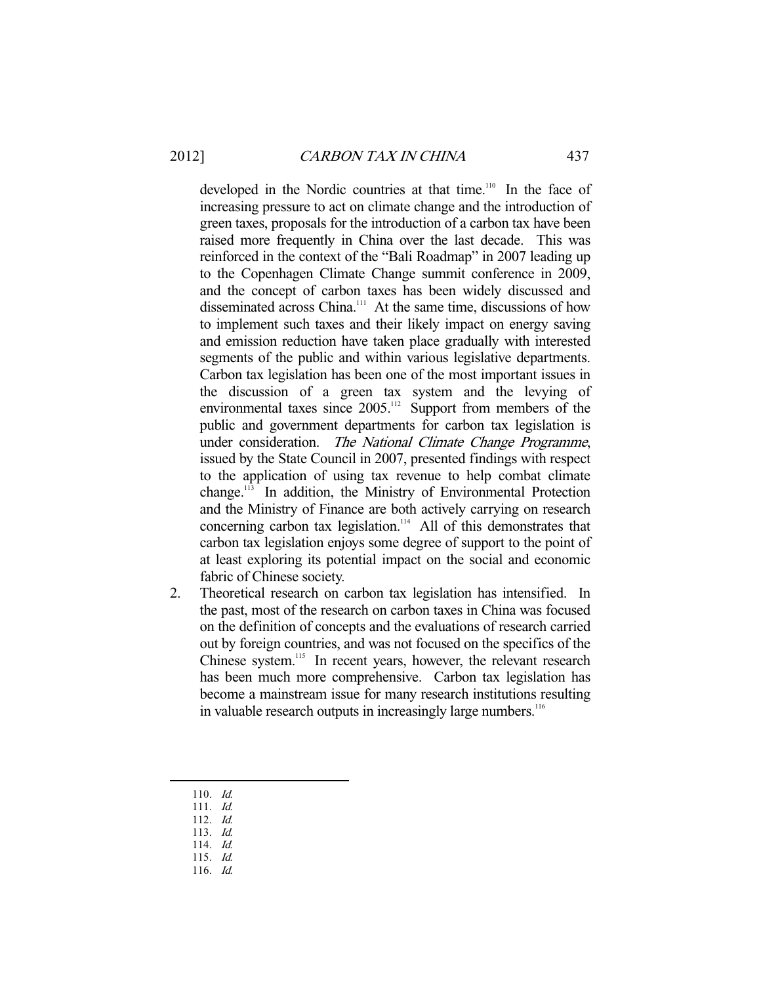developed in the Nordic countries at that time.<sup>110</sup> In the face of increasing pressure to act on climate change and the introduction of green taxes, proposals for the introduction of a carbon tax have been raised more frequently in China over the last decade. This was reinforced in the context of the "Bali Roadmap" in 2007 leading up to the Copenhagen Climate Change summit conference in 2009, and the concept of carbon taxes has been widely discussed and disseminated across China.<sup>111</sup> At the same time, discussions of how to implement such taxes and their likely impact on energy saving and emission reduction have taken place gradually with interested segments of the public and within various legislative departments. Carbon tax legislation has been one of the most important issues in the discussion of a green tax system and the levying of environmental taxes since 2005.<sup>112</sup> Support from members of the public and government departments for carbon tax legislation is under consideration. The National Climate Change Programme, issued by the State Council in 2007, presented findings with respect to the application of using tax revenue to help combat climate change.<sup>113</sup> In addition, the Ministry of Environmental Protection and the Ministry of Finance are both actively carrying on research concerning carbon tax legislation.<sup>114</sup> All of this demonstrates that carbon tax legislation enjoys some degree of support to the point of at least exploring its potential impact on the social and economic fabric of Chinese society.

- 2. Theoretical research on carbon tax legislation has intensified. In the past, most of the research on carbon taxes in China was focused on the definition of concepts and the evaluations of research carried out by foreign countries, and was not focused on the specifics of the Chinese system.<sup>115</sup> In recent years, however, the relevant research has been much more comprehensive. Carbon tax legislation has become a mainstream issue for many research institutions resulting in valuable research outputs in increasingly large numbers.<sup>116</sup>
	- 110. Id.
	- 111. Id.

- 112. Id. 113. Id.
- 114. Id.
- 115. Id.
- 116. Id.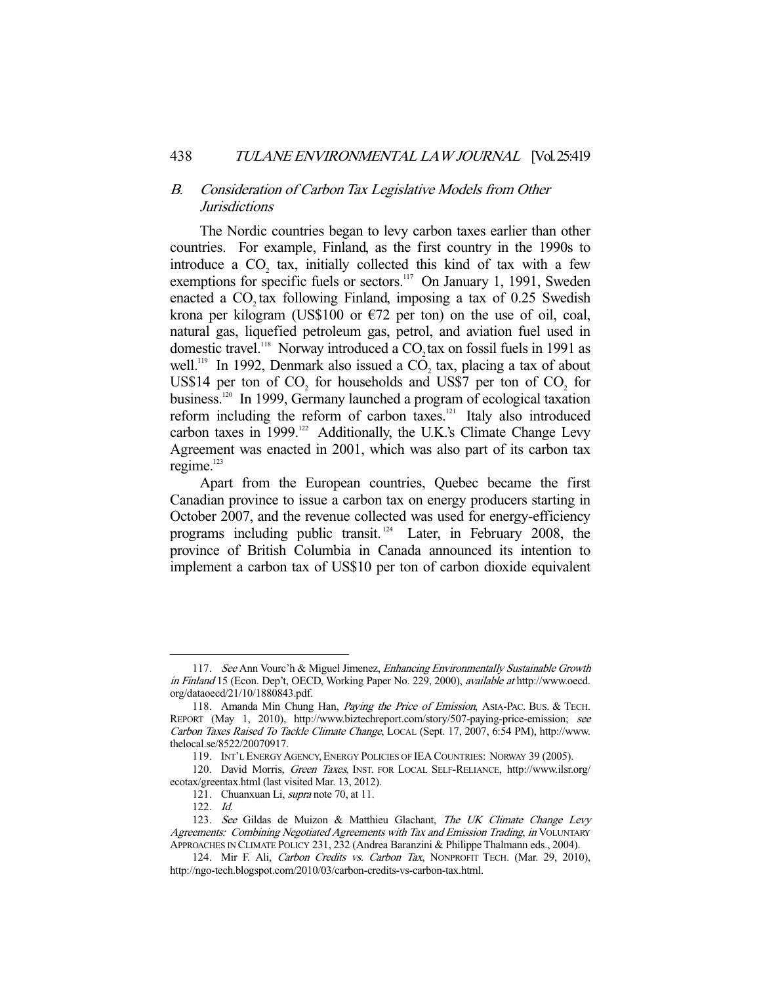# B. Consideration of Carbon Tax Legislative Models from Other Jurisdictions

 The Nordic countries began to levy carbon taxes earlier than other countries. For example, Finland, as the first country in the 1990s to introduce a  $CO<sub>2</sub>$  tax, initially collected this kind of tax with a few exemptions for specific fuels or sectors.<sup>117</sup> On January 1, 1991, Sweden enacted a  $CO<sub>2</sub>$  tax following Finland, imposing a tax of 0.25 Swedish krona per kilogram (US\$100 or  $\epsilon$ 72 per ton) on the use of oil, coal, natural gas, liquefied petroleum gas, petrol, and aviation fuel used in domestic travel.<sup>118</sup> Norway introduced a CO<sub>2</sub> tax on fossil fuels in 1991 as well.<sup>119</sup> In 1992, Denmark also issued a  $CO<sub>2</sub>$  tax, placing a tax of about US\$14 per ton of  $CO_2$  for households and US\$7 per ton of  $CO_2$  for business.120 In 1999, Germany launched a program of ecological taxation reform including the reform of carbon taxes.<sup>121</sup> Italy also introduced carbon taxes in  $1999$ <sup>122</sup> Additionally, the U.K.'s Climate Change Levy Agreement was enacted in 2001, which was also part of its carbon tax regime.<sup>123</sup>

 Apart from the European countries, Quebec became the first Canadian province to issue a carbon tax on energy producers starting in October 2007, and the revenue collected was used for energy-efficiency programs including public transit. 124 Later, in February 2008, the province of British Columbia in Canada announced its intention to implement a carbon tax of US\$10 per ton of carbon dioxide equivalent

<sup>117.</sup> See Ann Vourc'h & Miguel Jimenez, Enhancing Environmentally Sustainable Growth in Finland 15 (Econ. Dep't, OECD, Working Paper No. 229, 2000), available at http://www.oecd. org/dataoecd/21/10/1880843.pdf.

<sup>118.</sup> Amanda Min Chung Han, Paying the Price of Emission, ASIA-PAC. BUS. & TECH. REPORT (May 1, 2010), http://www.biztechreport.com/story/507-paying-price-emission; see Carbon Taxes Raised To Tackle Climate Change, LOCAL (Sept. 17, 2007, 6:54 PM), http://www. thelocal.se/8522/20070917.

 <sup>119.</sup> INT'L ENERGY AGENCY,ENERGY POLICIES OF IEA COUNTRIES: NORWAY 39 (2005).

 <sup>120.</sup> David Morris, Green Taxes, INST. FOR LOCAL SELF-RELIANCE, http://www.ilsr.org/ ecotax/greentax.html (last visited Mar. 13, 2012).

 <sup>121.</sup> Chuanxuan Li, supra note 70, at 11.

 <sup>122.</sup> Id.

<sup>123.</sup> See Gildas de Muizon & Matthieu Glachant, The UK Climate Change Levy Agreements: Combining Negotiated Agreements with Tax and Emission Trading, in VOLUNTARY APPROACHES IN CLIMATE POLICY 231, 232 (Andrea Baranzini & Philippe Thalmann eds., 2004).

<sup>124.</sup> Mir F. Ali, Carbon Credits vs. Carbon Tax, NONPROFIT TECH. (Mar. 29, 2010), http://ngo-tech.blogspot.com/2010/03/carbon-credits-vs-carbon-tax.html.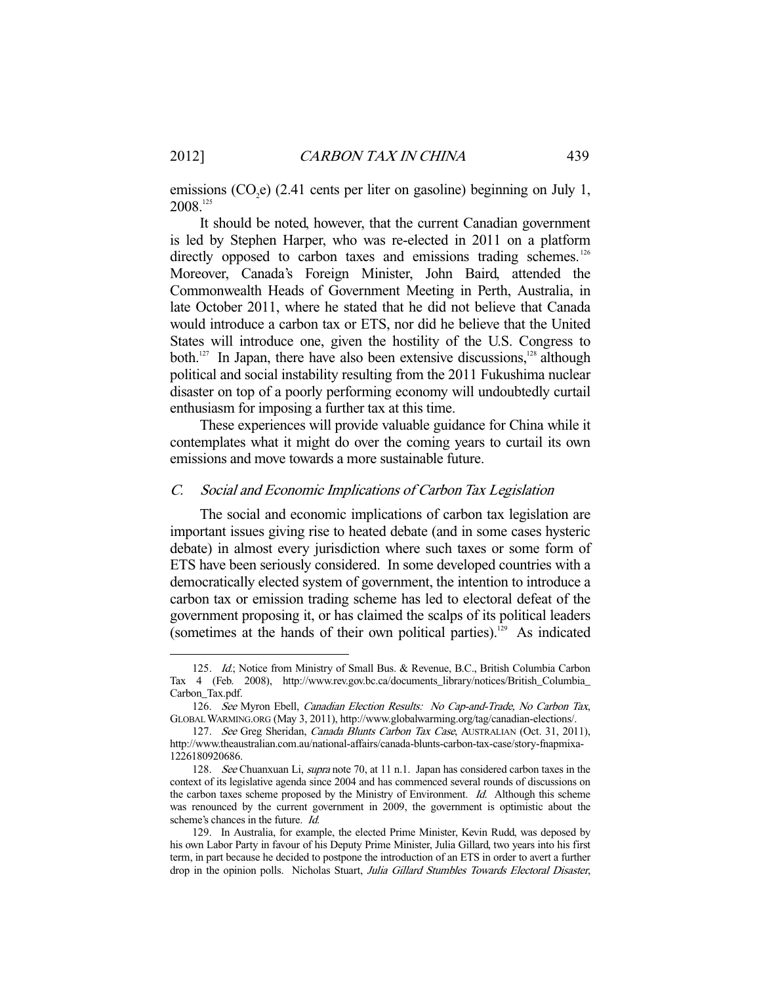emissions  $(CO_2e)$  (2.41 cents per liter on gasoline) beginning on July 1, 2008.125

 It should be noted, however, that the current Canadian government is led by Stephen Harper, who was re-elected in 2011 on a platform directly opposed to carbon taxes and emissions trading schemes.<sup>126</sup> Moreover, Canada's Foreign Minister, John Baird, attended the Commonwealth Heads of Government Meeting in Perth, Australia, in late October 2011, where he stated that he did not believe that Canada would introduce a carbon tax or ETS, nor did he believe that the United States will introduce one, given the hostility of the U.S. Congress to both.<sup>127</sup> In Japan, there have also been extensive discussions, $128$  although political and social instability resulting from the 2011 Fukushima nuclear disaster on top of a poorly performing economy will undoubtedly curtail enthusiasm for imposing a further tax at this time.

 These experiences will provide valuable guidance for China while it contemplates what it might do over the coming years to curtail its own emissions and move towards a more sustainable future.

#### C. Social and Economic Implications of Carbon Tax Legislation

 The social and economic implications of carbon tax legislation are important issues giving rise to heated debate (and in some cases hysteric debate) in almost every jurisdiction where such taxes or some form of ETS have been seriously considered. In some developed countries with a democratically elected system of government, the intention to introduce a carbon tax or emission trading scheme has led to electoral defeat of the government proposing it, or has claimed the scalps of its political leaders (sometimes at the hands of their own political parties).<sup>129</sup> As indicated

<sup>125.</sup> Id.; Notice from Ministry of Small Bus. & Revenue, B.C., British Columbia Carbon Tax 4 (Feb. 2008), http://www.rev.gov.bc.ca/documents\_library/notices/British\_Columbia\_ Carbon\_Tax.pdf.

 <sup>126.</sup> See Myron Ebell, Canadian Election Results: No Cap-and-Trade, No Carbon Tax, GLOBAL WARMING.ORG (May 3, 2011), http://www.globalwarming.org/tag/canadian-elections/.

<sup>127.</sup> See Greg Sheridan, Canada Blunts Carbon Tax Case, AUSTRALIAN (Oct. 31, 2011), http://www.theaustralian.com.au/national-affairs/canada-blunts-carbon-tax-case/story-fnapmixa-1226180920686.

<sup>128.</sup> See Chuanxuan Li, supra note 70, at 11 n.1. Japan has considered carbon taxes in the context of its legislative agenda since 2004 and has commenced several rounds of discussions on the carbon taxes scheme proposed by the Ministry of Environment. Id. Although this scheme was renounced by the current government in 2009, the government is optimistic about the scheme's chances in the future. Id.

 <sup>129.</sup> In Australia, for example, the elected Prime Minister, Kevin Rudd, was deposed by his own Labor Party in favour of his Deputy Prime Minister, Julia Gillard, two years into his first term, in part because he decided to postpone the introduction of an ETS in order to avert a further drop in the opinion polls. Nicholas Stuart, Julia Gillard Stumbles Towards Electoral Disaster,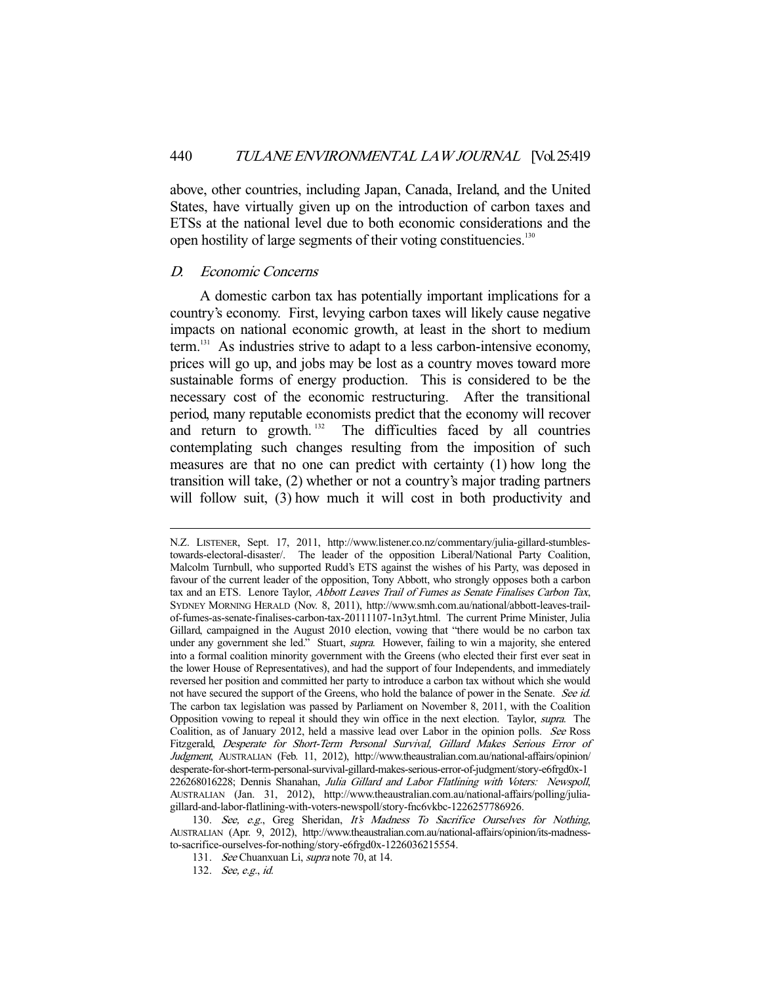above, other countries, including Japan, Canada, Ireland, and the United States, have virtually given up on the introduction of carbon taxes and ETSs at the national level due to both economic considerations and the open hostility of large segments of their voting constituencies.130

#### D. Economic Concerns

-

 A domestic carbon tax has potentially important implications for a country's economy. First, levying carbon taxes will likely cause negative impacts on national economic growth, at least in the short to medium term.<sup>131</sup> As industries strive to adapt to a less carbon-intensive economy, prices will go up, and jobs may be lost as a country moves toward more sustainable forms of energy production. This is considered to be the necessary cost of the economic restructuring. After the transitional period, many reputable economists predict that the economy will recover and return to growth.<sup>132</sup> The difficulties faced by all countries contemplating such changes resulting from the imposition of such measures are that no one can predict with certainty (1) how long the transition will take, (2) whether or not a country's major trading partners will follow suit, (3) how much it will cost in both productivity and

N.Z. LISTENER, Sept. 17, 2011, http://www.listener.co.nz/commentary/julia-gillard-stumblestowards-electoral-disaster/. The leader of the opposition Liberal/National Party Coalition, Malcolm Turnbull, who supported Rudd's ETS against the wishes of his Party, was deposed in favour of the current leader of the opposition, Tony Abbott, who strongly opposes both a carbon tax and an ETS. Lenore Taylor, Abbott Leaves Trail of Fumes as Senate Finalises Carbon Tax, SYDNEY MORNING HERALD (Nov. 8, 2011), http://www.smh.com.au/national/abbott-leaves-trailof-fumes-as-senate-finalises-carbon-tax-20111107-1n3yt.html. The current Prime Minister, Julia Gillard, campaigned in the August 2010 election, vowing that "there would be no carbon tax under any government she led." Stuart, supra. However, failing to win a majority, she entered into a formal coalition minority government with the Greens (who elected their first ever seat in the lower House of Representatives), and had the support of four Independents, and immediately reversed her position and committed her party to introduce a carbon tax without which she would not have secured the support of the Greens, who hold the balance of power in the Senate. See id. The carbon tax legislation was passed by Parliament on November 8, 2011, with the Coalition Opposition vowing to repeal it should they win office in the next election. Taylor, supra. The Coalition, as of January 2012, held a massive lead over Labor in the opinion polls. See Ross Fitzgerald, Desperate for Short-Term Personal Survival, Gillard Makes Serious Error of Judgment, AUSTRALIAN (Feb. 11, 2012), http://www.theaustralian.com.au/national-affairs/opinion/ desperate-for-short-term-personal-survival-gillard-makes-serious-error-of-judgment/story-e6frgd0x-1 226268016228; Dennis Shanahan, Julia Gillard and Labor Flatlining with Voters: Newspoll, AUSTRALIAN (Jan. 31, 2012), http://www.theaustralian.com.au/national-affairs/polling/juliagillard-and-labor-flatlining-with-voters-newspoll/story-fnc6vkbc-1226257786926.

<sup>130.</sup> See, e.g., Greg Sheridan, It's Madness To Sacrifice Ourselves for Nothing, AUSTRALIAN (Apr. 9, 2012), http://www.theaustralian.com.au/national-affairs/opinion/its-madnessto-sacrifice-ourselves-for-nothing/story-e6frgd0x-1226036215554.

 <sup>131.</sup> See Chuanxuan Li, supra note 70, at 14.

 <sup>132.</sup> See, e.g., id.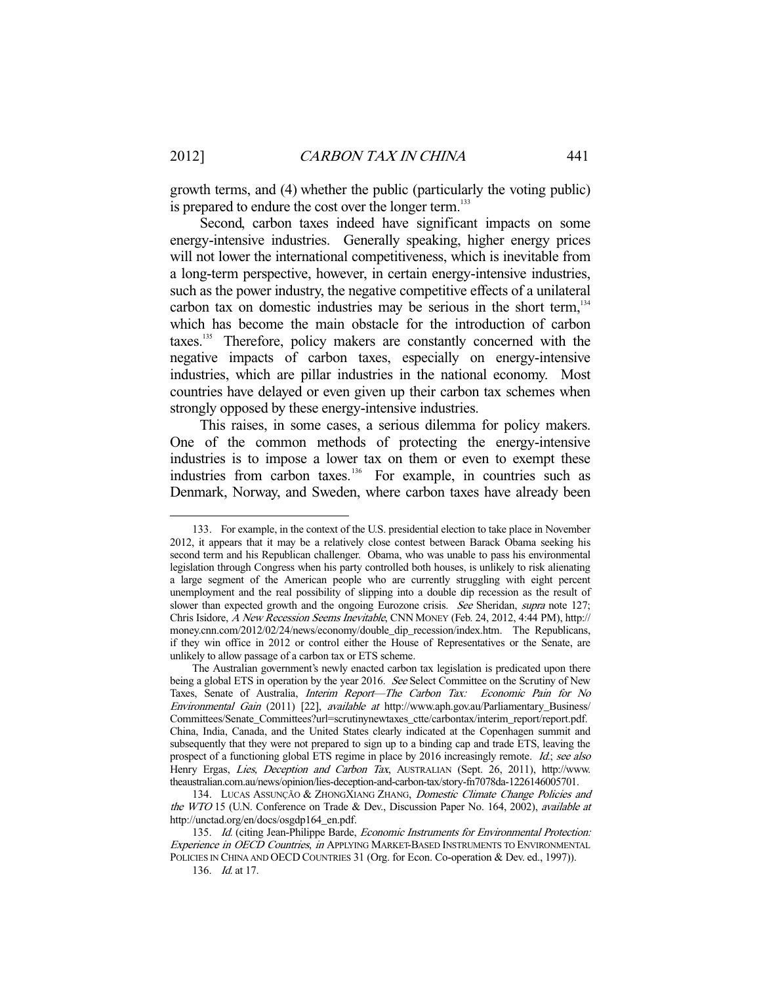growth terms, and (4) whether the public (particularly the voting public) is prepared to endure the cost over the longer term.<sup>133</sup>

 Second, carbon taxes indeed have significant impacts on some energy-intensive industries. Generally speaking, higher energy prices will not lower the international competitiveness, which is inevitable from a long-term perspective, however, in certain energy-intensive industries, such as the power industry, the negative competitive effects of a unilateral carbon tax on domestic industries may be serious in the short term, $134$ which has become the main obstacle for the introduction of carbon taxes.135 Therefore, policy makers are constantly concerned with the negative impacts of carbon taxes, especially on energy-intensive industries, which are pillar industries in the national economy. Most countries have delayed or even given up their carbon tax schemes when strongly opposed by these energy-intensive industries.

 This raises, in some cases, a serious dilemma for policy makers. One of the common methods of protecting the energy-intensive industries is to impose a lower tax on them or even to exempt these industries from carbon taxes.136 For example, in countries such as Denmark, Norway, and Sweden, where carbon taxes have already been

 <sup>133.</sup> For example, in the context of the U.S. presidential election to take place in November 2012, it appears that it may be a relatively close contest between Barack Obama seeking his second term and his Republican challenger. Obama, who was unable to pass his environmental legislation through Congress when his party controlled both houses, is unlikely to risk alienating a large segment of the American people who are currently struggling with eight percent unemployment and the real possibility of slipping into a double dip recession as the result of slower than expected growth and the ongoing Eurozone crisis. See Sheridan, supra note 127; Chris Isidore, A New Recession Seems Inevitable, CNN MONEY (Feb. 24, 2012, 4:44 PM), http:// money.cnn.com/2012/02/24/news/economy/double\_dip\_recession/index.htm. The Republicans, if they win office in 2012 or control either the House of Representatives or the Senate, are unlikely to allow passage of a carbon tax or ETS scheme.

The Australian government's newly enacted carbon tax legislation is predicated upon there being a global ETS in operation by the year 2016. See Select Committee on the Scrutiny of New Taxes, Senate of Australia, Interim Report—The Carbon Tax: Economic Pain for No Environmental Gain (2011) [22], available at http://www.aph.gov.au/Parliamentary\_Business/ Committees/Senate\_Committees?url=scrutinynewtaxes\_ctte/carbontax/interim\_report/report.pdf. China, India, Canada, and the United States clearly indicated at the Copenhagen summit and subsequently that they were not prepared to sign up to a binding cap and trade ETS, leaving the prospect of a functioning global ETS regime in place by 2016 increasingly remote. Id.; see also Henry Ergas, Lies, Deception and Carbon Tax, AUSTRALIAN (Sept. 26, 2011), http://www. theaustralian.com.au/news/opinion/lies-deception-and-carbon-tax/story-fn7078da-1226146005701.

<sup>134.</sup> LUCAS ASSUNÇÃO & ZHONGXIANG ZHANG, Domestic Climate Change Policies and the WTO 15 (U.N. Conference on Trade & Dev., Discussion Paper No. 164, 2002), available at http://unctad.org/en/docs/osgdp164\_en.pdf.

<sup>135.</sup> Id. (citing Jean-Philippe Barde, Economic Instruments for Environmental Protection: Experience in OECD Countries, in APPLYING MARKET-BASED INSTRUMENTS TO ENVIRONMENTAL POLICIES IN CHINA AND OECD COUNTRIES 31 (Org. for Econ. Co-operation & Dev. ed., 1997)).

 <sup>136.</sup> Id. at 17.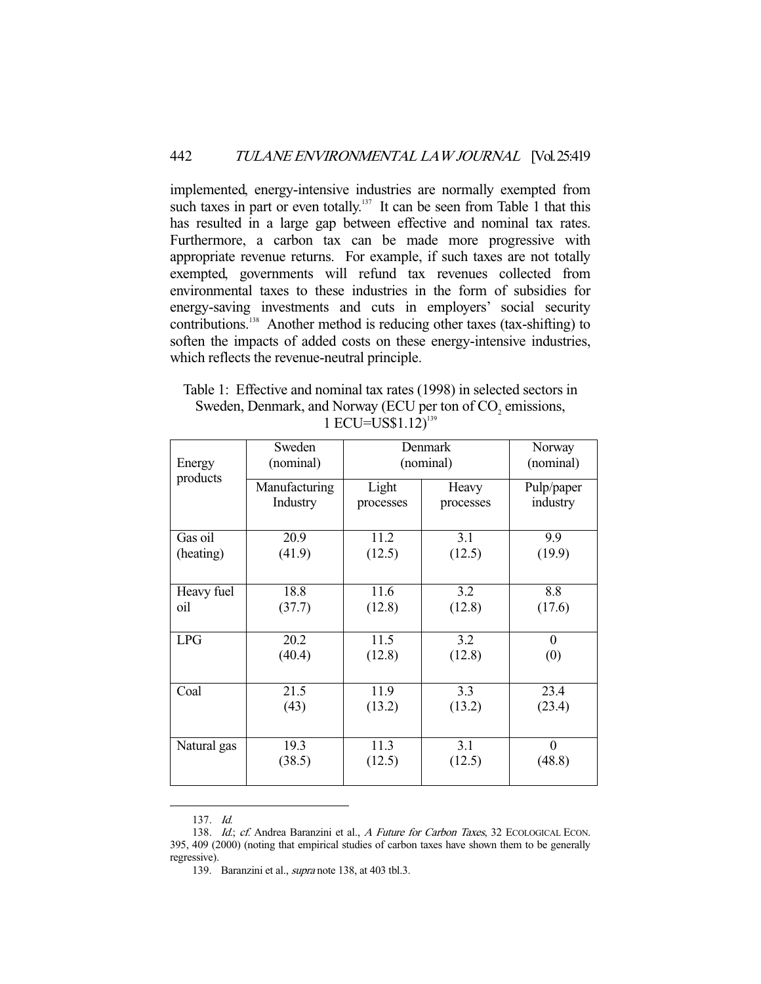implemented, energy-intensive industries are normally exempted from such taxes in part or even totally.<sup>137</sup> It can be seen from Table 1 that this has resulted in a large gap between effective and nominal tax rates. Furthermore, a carbon tax can be made more progressive with appropriate revenue returns. For example, if such taxes are not totally exempted, governments will refund tax revenues collected from environmental taxes to these industries in the form of subsidies for energy-saving investments and cuts in employers' social security contributions.138 Another method is reducing other taxes (tax-shifting) to soften the impacts of added costs on these energy-intensive industries, which reflects the revenue-neutral principle.

Table 1: Effective and nominal tax rates (1998) in selected sectors in Sweden, Denmark, and Norway (ECU per ton of  $CO<sub>2</sub>$  emissions, 1 ECU=US\$1.12)<sup>139</sup>

|                    | Sweden        | Denmark   |           | Norway     |
|--------------------|---------------|-----------|-----------|------------|
| Energy<br>products | (nominal)     | (nominal) | (nominal) |            |
|                    | Manufacturing | Light     | Heavy     | Pulp/paper |
|                    | Industry      | processes | processes | industry   |
|                    |               |           |           |            |
| Gas oil            | 20.9          | 11.2      | 3.1       | 9.9        |
| (heating)          | (41.9)        | (12.5)    | (12.5)    | (19.9)     |
|                    |               |           |           |            |
| Heavy fuel         | 18.8          | 11.6      | 3.2       | 8.8        |
| oil                | (37.7)        | (12.8)    | (12.8)    | (17.6)     |
|                    |               |           |           |            |
| <b>LPG</b>         | 20.2          | 11.5      | 3.2       | $\theta$   |
|                    | (40.4)        | (12.8)    | (12.8)    | (0)        |
|                    |               |           |           |            |
| Coal               | 21.5          | 11.9      | 3.3       | 23.4       |
|                    | (43)          | (13.2)    | (13.2)    | (23.4)     |
|                    |               |           |           |            |
| Natural gas        | 19.3          | 11.3      | 3.1       | $\theta$   |
|                    | (38.5)        | (12.5)    | (12.5)    | (48.8)     |
|                    |               |           |           |            |

 <sup>137.</sup> Id.

<sup>138.</sup> Id.; cf. Andrea Baranzini et al., A Future for Carbon Taxes, 32 ECOLOGICAL ECON. 395, 409 (2000) (noting that empirical studies of carbon taxes have shown them to be generally regressive).

 <sup>139.</sup> Baranzini et al., supra note 138, at 403 tbl.3.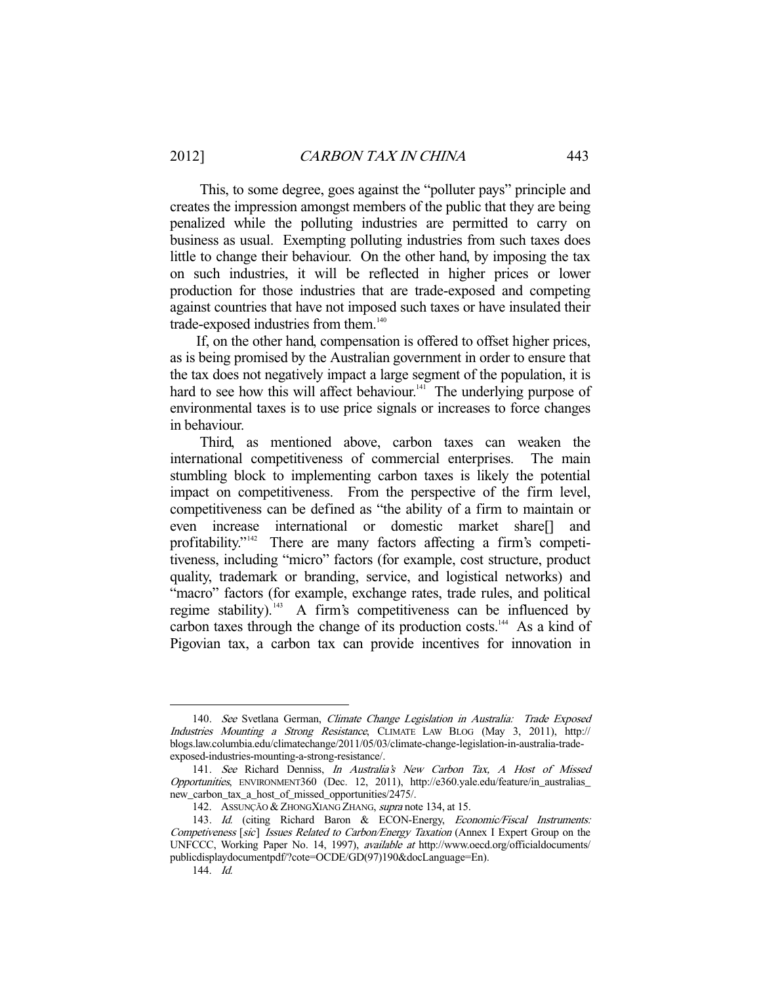This, to some degree, goes against the "polluter pays" principle and creates the impression amongst members of the public that they are being penalized while the polluting industries are permitted to carry on business as usual. Exempting polluting industries from such taxes does little to change their behaviour. On the other hand, by imposing the tax on such industries, it will be reflected in higher prices or lower production for those industries that are trade-exposed and competing against countries that have not imposed such taxes or have insulated their trade-exposed industries from them.<sup>140</sup>

 If, on the other hand, compensation is offered to offset higher prices, as is being promised by the Australian government in order to ensure that the tax does not negatively impact a large segment of the population, it is hard to see how this will affect behaviour. $141$  The underlying purpose of environmental taxes is to use price signals or increases to force changes in behaviour.

 Third, as mentioned above, carbon taxes can weaken the international competitiveness of commercial enterprises. The main stumbling block to implementing carbon taxes is likely the potential impact on competitiveness. From the perspective of the firm level, competitiveness can be defined as "the ability of a firm to maintain or even increase international or domestic market share[] and profitability."<sup>142</sup> There are many factors affecting a firm's competitiveness, including "micro" factors (for example, cost structure, product quality, trademark or branding, service, and logistical networks) and "macro" factors (for example, exchange rates, trade rules, and political regime stability).<sup>143</sup> A firm's competitiveness can be influenced by carbon taxes through the change of its production costs.<sup>144</sup> As a kind of Pigovian tax, a carbon tax can provide incentives for innovation in

<sup>140.</sup> See Svetlana German, Climate Change Legislation in Australia: Trade Exposed Industries Mounting a Strong Resistance, CLIMATE LAW BLOG (May 3, 2011), http:// blogs.law.columbia.edu/climatechange/2011/05/03/climate-change-legislation-in-australia-tradeexposed-industries-mounting-a-strong-resistance/.

 <sup>141.</sup> See Richard Denniss, In Australia's New Carbon Tax, A Host of Missed Opportunities, ENVIRONMENT360 (Dec. 12, 2011), http://e360.yale.edu/feature/in\_australias\_ new\_carbon\_tax\_a\_host\_of\_missed\_opportunities/2475/.

<sup>142.</sup> ASSUNÇÃO & ZHONGXIANG ZHANG, supra note 134, at 15.

<sup>143.</sup> Id. (citing Richard Baron & ECON-Energy, Economic/Fiscal Instruments: Competiveness [sic] Issues Related to Carbon/Energy Taxation (Annex I Expert Group on the UNFCCC, Working Paper No. 14, 1997), available at http://www.oecd.org/officialdocuments/ publicdisplaydocumentpdf/?cote=OCDE/GD(97)190&docLanguage=En).

 <sup>144.</sup> Id.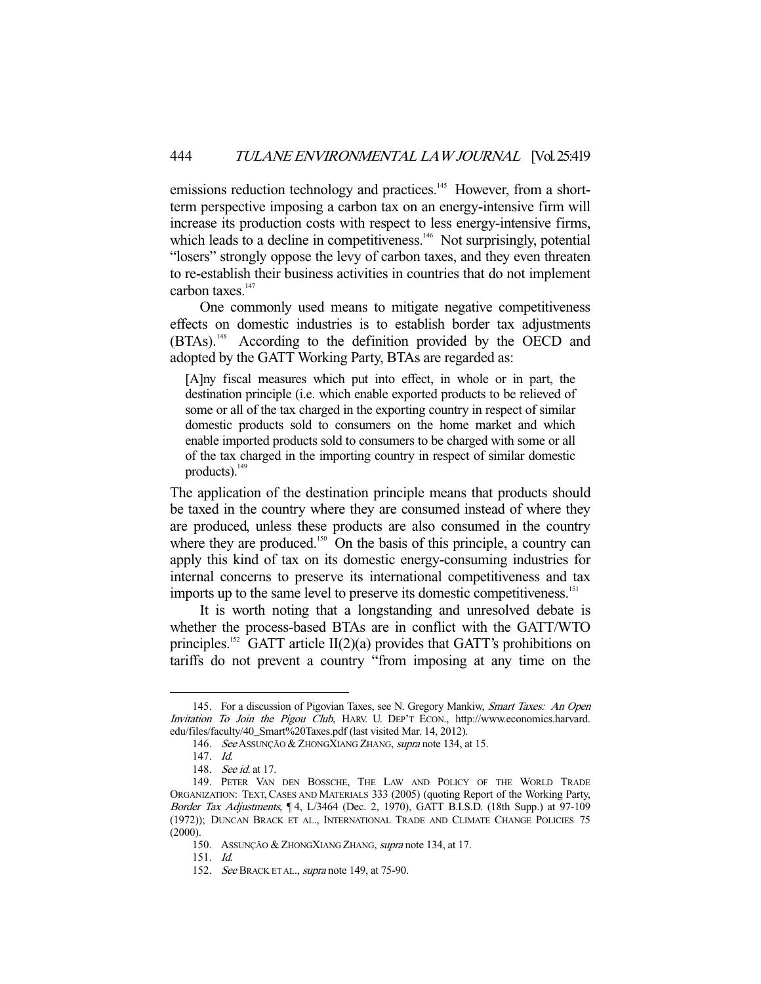emissions reduction technology and practices.<sup>145</sup> However, from a shortterm perspective imposing a carbon tax on an energy-intensive firm will increase its production costs with respect to less energy-intensive firms, which leads to a decline in competitiveness. $146$  Not surprisingly, potential "losers" strongly oppose the levy of carbon taxes, and they even threaten to re-establish their business activities in countries that do not implement carbon taxes. $147$ 

 One commonly used means to mitigate negative competitiveness effects on domestic industries is to establish border tax adjustments (BTAs).<sup>148</sup> According to the definition provided by the OECD and adopted by the GATT Working Party, BTAs are regarded as:

[A]ny fiscal measures which put into effect, in whole or in part, the destination principle (i.e. which enable exported products to be relieved of some or all of the tax charged in the exporting country in respect of similar domestic products sold to consumers on the home market and which enable imported products sold to consumers to be charged with some or all of the tax charged in the importing country in respect of similar domestic products). $^{149}$ 

The application of the destination principle means that products should be taxed in the country where they are consumed instead of where they are produced, unless these products are also consumed in the country where they are produced.<sup>150</sup> On the basis of this principle, a country can apply this kind of tax on its domestic energy-consuming industries for internal concerns to preserve its international competitiveness and tax imports up to the same level to preserve its domestic competitiveness.<sup>151</sup>

 It is worth noting that a longstanding and unresolved debate is whether the process-based BTAs are in conflict with the GATT/WTO principles.<sup>152</sup> GATT article II(2)(a) provides that GATT's prohibitions on tariffs do not prevent a country "from imposing at any time on the

<sup>145.</sup> For a discussion of Pigovian Taxes, see N. Gregory Mankiw, Smart Taxes: An Open Invitation To Join the Pigou Club, HARV. U. DEP'T ECON., http://www.economics.harvard. edu/files/faculty/40\_Smart%20Taxes.pdf (last visited Mar. 14, 2012).

<sup>146.</sup> See Assunção & ZhongXiang Zhang, supra note 134, at 15.

 <sup>147.</sup> Id.

<sup>148.</sup> See id. at 17.

 <sup>149.</sup> PETER VAN DEN BOSSCHE, THE LAW AND POLICY OF THE WORLD TRADE ORGANIZATION: TEXT, CASES AND MATERIALS 333 (2005) (quoting Report of the Working Party, Border Tax Adjustments, ¶ 4, L/3464 (Dec. 2, 1970), GATT B.I.S.D. (18th Supp.) at 97-109 (1972)); DUNCAN BRACK ET AL., INTERNATIONAL TRADE AND CLIMATE CHANGE POLICIES 75 (2000).

 <sup>150.</sup> ASSUNÇÃO & ZHONGXIANG ZHANG, supra note 134, at 17.

 <sup>151.</sup> Id.

<sup>152.</sup> See BRACK ET AL., supra note 149, at 75-90.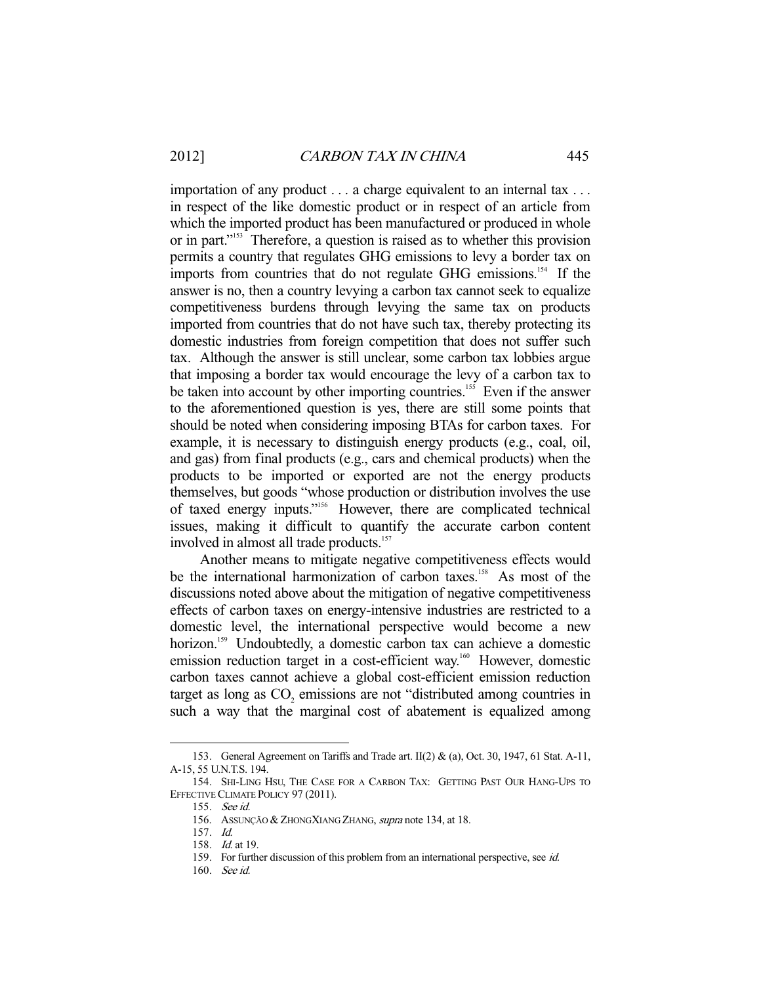importation of any product . . . a charge equivalent to an internal tax . . . in respect of the like domestic product or in respect of an article from which the imported product has been manufactured or produced in whole or in part."153 Therefore, a question is raised as to whether this provision permits a country that regulates GHG emissions to levy a border tax on imports from countries that do not regulate GHG emissions.<sup>154</sup> If the answer is no, then a country levying a carbon tax cannot seek to equalize competitiveness burdens through levying the same tax on products imported from countries that do not have such tax, thereby protecting its domestic industries from foreign competition that does not suffer such tax. Although the answer is still unclear, some carbon tax lobbies argue that imposing a border tax would encourage the levy of a carbon tax to be taken into account by other importing countries.<sup>155</sup> Even if the answer to the aforementioned question is yes, there are still some points that should be noted when considering imposing BTAs for carbon taxes. For example, it is necessary to distinguish energy products (e.g., coal, oil, and gas) from final products (e.g., cars and chemical products) when the products to be imported or exported are not the energy products themselves, but goods "whose production or distribution involves the use of taxed energy inputs."156 However, there are complicated technical issues, making it difficult to quantify the accurate carbon content involved in almost all trade products.<sup>157</sup>

 Another means to mitigate negative competitiveness effects would be the international harmonization of carbon taxes.<sup>158</sup> As most of the discussions noted above about the mitigation of negative competitiveness effects of carbon taxes on energy-intensive industries are restricted to a domestic level, the international perspective would become a new horizon.<sup>159</sup> Undoubtedly, a domestic carbon tax can achieve a domestic emission reduction target in a cost-efficient way.<sup>160</sup> However, domestic carbon taxes cannot achieve a global cost-efficient emission reduction target as long as  $CO<sub>2</sub>$  emissions are not "distributed among countries in such a way that the marginal cost of abatement is equalized among

 <sup>153.</sup> General Agreement on Tariffs and Trade art. II(2) & (a), Oct. 30, 1947, 61 Stat. A-11, A-15, 55 U.N.T.S. 194.

 <sup>154.</sup> SHI-LING HSU, THE CASE FOR A CARBON TAX: GETTING PAST OUR HANG-UPS TO EFFECTIVE CLIMATE POLICY 97 (2011).

 <sup>155.</sup> See id.

<sup>156.</sup> ASSUNÇÃO & ZHONGXIANG ZHANG, supra note 134, at 18.

 <sup>157.</sup> Id.

 <sup>158.</sup> Id. at 19.

<sup>159.</sup> For further discussion of this problem from an international perspective, see id.

 <sup>160.</sup> See id.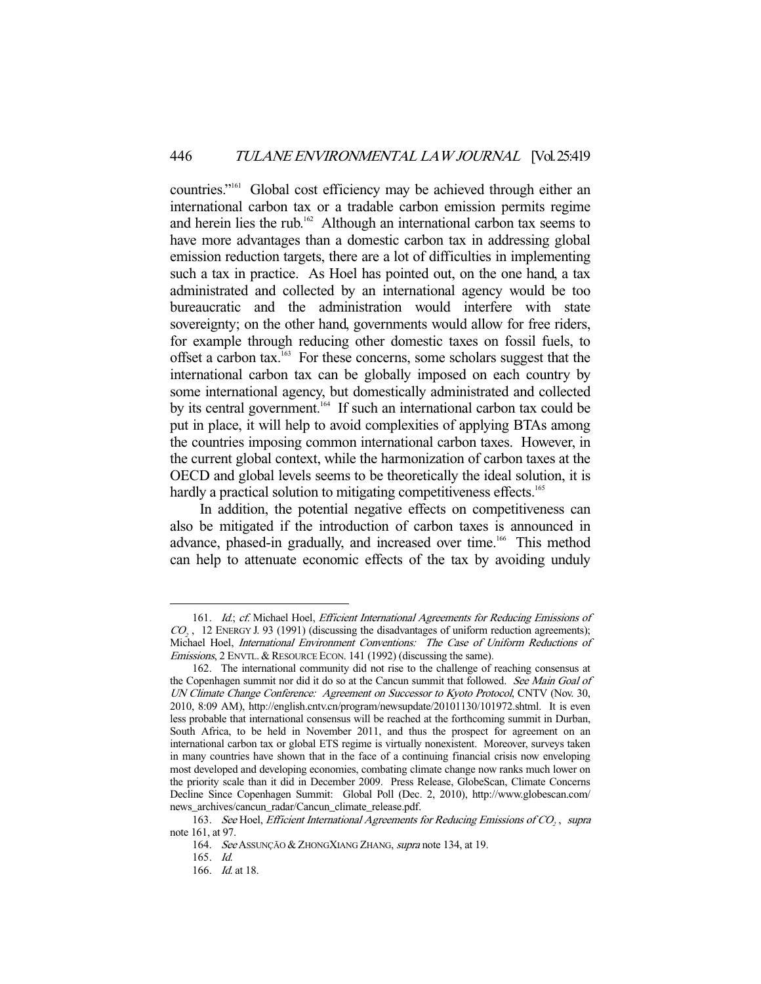countries."161 Global cost efficiency may be achieved through either an international carbon tax or a tradable carbon emission permits regime and herein lies the rub.<sup>162</sup> Although an international carbon tax seems to have more advantages than a domestic carbon tax in addressing global emission reduction targets, there are a lot of difficulties in implementing such a tax in practice. As Hoel has pointed out, on the one hand, a tax administrated and collected by an international agency would be too bureaucratic and the administration would interfere with state sovereignty; on the other hand, governments would allow for free riders, for example through reducing other domestic taxes on fossil fuels, to offset a carbon tax.<sup>163</sup> For these concerns, some scholars suggest that the international carbon tax can be globally imposed on each country by some international agency, but domestically administrated and collected by its central government.<sup>164</sup> If such an international carbon tax could be put in place, it will help to avoid complexities of applying BTAs among the countries imposing common international carbon taxes. However, in the current global context, while the harmonization of carbon taxes at the OECD and global levels seems to be theoretically the ideal solution, it is hardly a practical solution to mitigating competitiveness effects.<sup>165</sup>

 In addition, the potential negative effects on competitiveness can also be mitigated if the introduction of carbon taxes is announced in advance, phased-in gradually, and increased over time.<sup>166</sup> This method can help to attenuate economic effects of the tax by avoiding unduly

<sup>161.</sup> Id.; cf. Michael Hoel, Efficient International Agreements for Reducing Emissions of  $CO<sub>2</sub>$ , 12 ENERGY J. 93 (1991) (discussing the disadvantages of uniform reduction agreements); Michael Hoel, International Environment Conventions: The Case of Uniform Reductions of Emissions, 2 ENVTL. & RESOURCE ECON. 141 (1992) (discussing the same).

 <sup>162.</sup> The international community did not rise to the challenge of reaching consensus at the Copenhagen summit nor did it do so at the Cancun summit that followed. See Main Goal of UN Climate Change Conference: Agreement on Successor to Kyoto Protocol, CNTV (Nov. 30, 2010, 8:09 AM), http://english.cntv.cn/program/newsupdate/20101130/101972.shtml. It is even less probable that international consensus will be reached at the forthcoming summit in Durban, South Africa, to be held in November 2011, and thus the prospect for agreement on an international carbon tax or global ETS regime is virtually nonexistent. Moreover, surveys taken in many countries have shown that in the face of a continuing financial crisis now enveloping most developed and developing economies, combating climate change now ranks much lower on the priority scale than it did in December 2009. Press Release, GlobeScan, Climate Concerns Decline Since Copenhagen Summit: Global Poll (Dec. 2, 2010), http://www.globescan.com/ news\_archives/cancun\_radar/Cancun\_climate\_release.pdf.

<sup>163.</sup> See Hoel, Efficient International Agreements for Reducing Emissions of CO<sub>2</sub>, supra note 161, at 97.

<sup>164.</sup> See Assunção & ZhongXiang Zhang, supra note 134, at 19.

 <sup>165.</sup> Id.

 <sup>166.</sup> Id. at 18.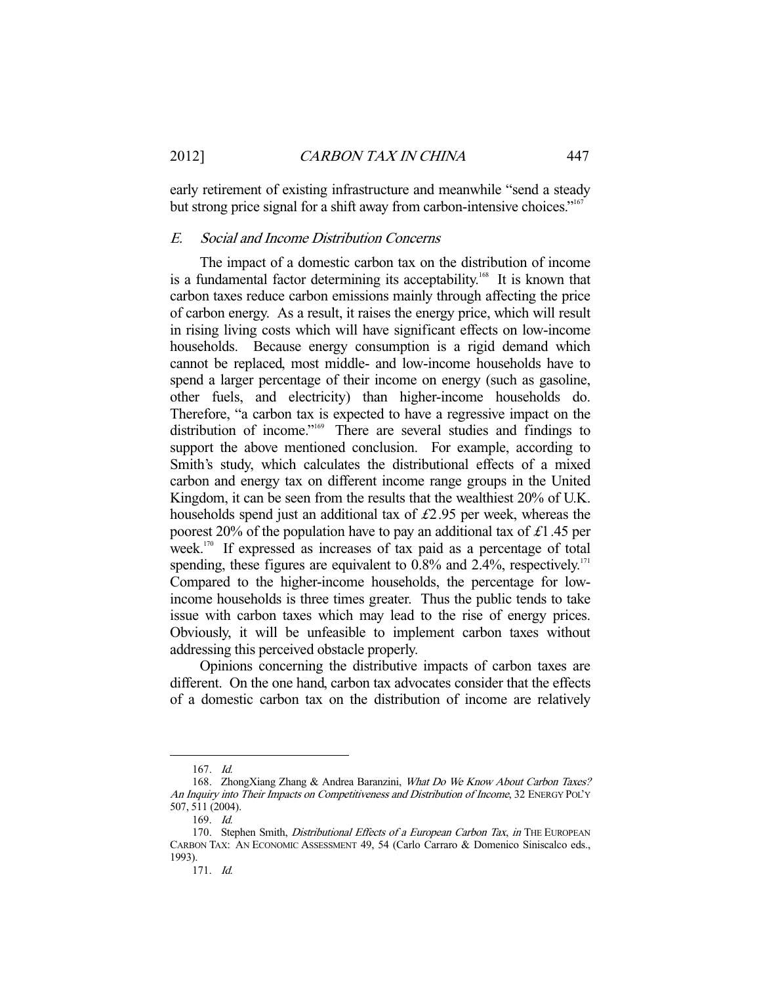early retirement of existing infrastructure and meanwhile "send a steady but strong price signal for a shift away from carbon-intensive choices."<sup>167</sup>

### E. Social and Income Distribution Concerns

 The impact of a domestic carbon tax on the distribution of income is a fundamental factor determining its acceptability.<sup>168</sup> It is known that carbon taxes reduce carbon emissions mainly through affecting the price of carbon energy. As a result, it raises the energy price, which will result in rising living costs which will have significant effects on low-income households. Because energy consumption is a rigid demand which cannot be replaced, most middle- and low-income households have to spend a larger percentage of their income on energy (such as gasoline, other fuels, and electricity) than higher-income households do. Therefore, "a carbon tax is expected to have a regressive impact on the distribution of income."<sup>169</sup> There are several studies and findings to support the above mentioned conclusion. For example, according to Smith's study, which calculates the distributional effects of a mixed carbon and energy tax on different income range groups in the United Kingdom, it can be seen from the results that the wealthiest 20% of U.K. households spend just an additional tax of  $\text{\pounds}2.95$  per week, whereas the poorest 20% of the population have to pay an additional tax of £1.45 per week.<sup>170</sup> If expressed as increases of tax paid as a percentage of total spending, these figures are equivalent to  $0.8\%$  and  $2.4\%$ , respectively.<sup>171</sup> Compared to the higher-income households, the percentage for lowincome households is three times greater. Thus the public tends to take issue with carbon taxes which may lead to the rise of energy prices. Obviously, it will be unfeasible to implement carbon taxes without addressing this perceived obstacle properly.

 Opinions concerning the distributive impacts of carbon taxes are different. On the one hand, carbon tax advocates consider that the effects of a domestic carbon tax on the distribution of income are relatively

 <sup>167.</sup> Id.

 <sup>168.</sup> ZhongXiang Zhang & Andrea Baranzini, What Do We Know About Carbon Taxes? An Inquiry into Their Impacts on Competitiveness and Distribution of Income, 32 ENERGY POL'Y 507, 511 (2004).

 <sup>169.</sup> Id.

<sup>170.</sup> Stephen Smith, Distributional Effects of a European Carbon Tax, in THE EUROPEAN CARBON TAX: AN ECONOMIC ASSESSMENT 49, 54 (Carlo Carraro & Domenico Siniscalco eds., 1993).

 <sup>171.</sup> Id.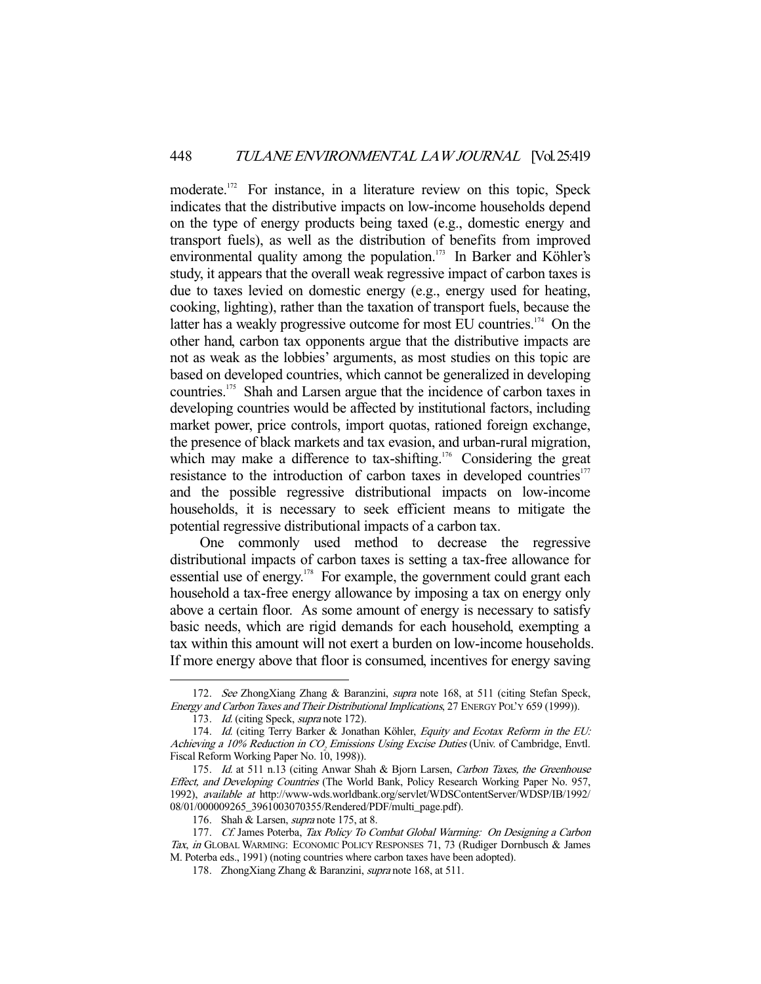moderate.<sup>172</sup> For instance, in a literature review on this topic, Speck indicates that the distributive impacts on low-income households depend on the type of energy products being taxed (e.g., domestic energy and transport fuels), as well as the distribution of benefits from improved environmental quality among the population.<sup>173</sup> In Barker and Köhler's study, it appears that the overall weak regressive impact of carbon taxes is due to taxes levied on domestic energy (e.g., energy used for heating, cooking, lighting), rather than the taxation of transport fuels, because the latter has a weakly progressive outcome for most EU countries.<sup>174</sup> On the other hand, carbon tax opponents argue that the distributive impacts are not as weak as the lobbies' arguments, as most studies on this topic are based on developed countries, which cannot be generalized in developing countries.175 Shah and Larsen argue that the incidence of carbon taxes in developing countries would be affected by institutional factors, including market power, price controls, import quotas, rationed foreign exchange, the presence of black markets and tax evasion, and urban-rural migration, which may make a difference to tax-shifting.<sup>176</sup> Considering the great resistance to the introduction of carbon taxes in developed countries<sup>177</sup> and the possible regressive distributional impacts on low-income households, it is necessary to seek efficient means to mitigate the potential regressive distributional impacts of a carbon tax.

 One commonly used method to decrease the regressive distributional impacts of carbon taxes is setting a tax-free allowance for essential use of energy.<sup>178</sup> For example, the government could grant each household a tax-free energy allowance by imposing a tax on energy only above a certain floor. As some amount of energy is necessary to satisfy basic needs, which are rigid demands for each household, exempting a tax within this amount will not exert a burden on low-income households. If more energy above that floor is consumed, incentives for energy saving

<sup>172.</sup> See ZhongXiang Zhang & Baranzini, *supra* note 168, at 511 (citing Stefan Speck, Energy and Carbon Taxes and Their Distributional Implications, 27 ENERGY POL'Y 659 (1999)).

<sup>173.</sup> Id. (citing Speck, *supra* note 172).

<sup>174.</sup> Id. (citing Terry Barker & Jonathan Köhler, Equity and Ecotax Reform in the EU: Achieving a 10% Reduction in CO<sub>2</sub> Emissions Using Excise Duties (Univ. of Cambridge, Envtl. Fiscal Reform Working Paper No. 10, 1998)).

<sup>175.</sup> Id. at 511 n.13 (citing Anwar Shah & Bjorn Larsen, Carbon Taxes, the Greenhouse Effect, and Developing Countries (The World Bank, Policy Research Working Paper No. 957, 1992), available at http://www-wds.worldbank.org/servlet/WDSContentServer/WDSP/IB/1992/ 08/01/000009265\_3961003070355/Rendered/PDF/multi\_page.pdf).

<sup>176.</sup> Shah & Larsen, *supra* note 175, at 8.

<sup>177.</sup> Cf. James Poterba, Tax Policy To Combat Global Warming: On Designing a Carbon Tax, in GLOBAL WARMING: ECONOMIC POLICY RESPONSES 71, 73 (Rudiger Dornbusch & James M. Poterba eds., 1991) (noting countries where carbon taxes have been adopted).

<sup>178.</sup> ZhongXiang Zhang & Baranzini, *supra* note 168, at 511.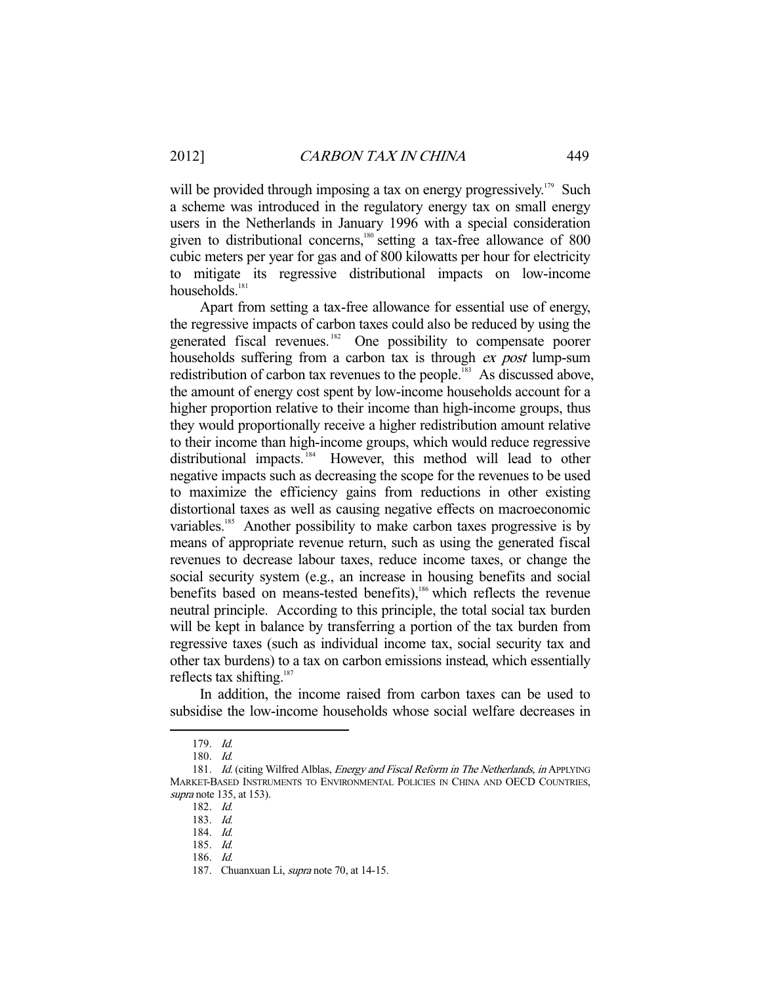will be provided through imposing a tax on energy progressively.<sup>179</sup> Such a scheme was introduced in the regulatory energy tax on small energy users in the Netherlands in January 1996 with a special consideration given to distributional concerns,<sup>180</sup> setting a tax-free allowance of 800 cubic meters per year for gas and of 800 kilowatts per hour for electricity to mitigate its regressive distributional impacts on low-income households. $181$ 

 Apart from setting a tax-free allowance for essential use of energy, the regressive impacts of carbon taxes could also be reduced by using the generated fiscal revenues.<sup>182</sup> One possibility to compensate poorer households suffering from a carbon tax is through *ex post* lump-sum redistribution of carbon tax revenues to the people.<sup>183</sup> As discussed above, the amount of energy cost spent by low-income households account for a higher proportion relative to their income than high-income groups, thus they would proportionally receive a higher redistribution amount relative to their income than high-income groups, which would reduce regressive distributional impacts.<sup>184</sup> However, this method will lead to other negative impacts such as decreasing the scope for the revenues to be used to maximize the efficiency gains from reductions in other existing distortional taxes as well as causing negative effects on macroeconomic variables.<sup>185</sup> Another possibility to make carbon taxes progressive is by means of appropriate revenue return, such as using the generated fiscal revenues to decrease labour taxes, reduce income taxes, or change the social security system (e.g., an increase in housing benefits and social benefits based on means-tested benefits),<sup>186</sup> which reflects the revenue neutral principle. According to this principle, the total social tax burden will be kept in balance by transferring a portion of the tax burden from regressive taxes (such as individual income tax, social security tax and other tax burdens) to a tax on carbon emissions instead, which essentially reflects tax shifting. $187$ 

 In addition, the income raised from carbon taxes can be used to subsidise the low-income households whose social welfare decreases in

 <sup>179.</sup> Id.

 <sup>180.</sup> Id.

<sup>181.</sup> Id. (citing Wilfred Alblas, *Energy and Fiscal Reform in The Netherlands, in* APPLYING MARKET-BASED INSTRUMENTS TO ENVIRONMENTAL POLICIES IN CHINA AND OECD COUNTRIES, supra note 135, at 153).

 <sup>182.</sup> Id.

 <sup>183.</sup> Id.

 <sup>184.</sup> Id.

 <sup>185.</sup> Id.

 <sup>186.</sup> Id.

<sup>187.</sup> Chuanxuan Li, *supra* note 70, at 14-15.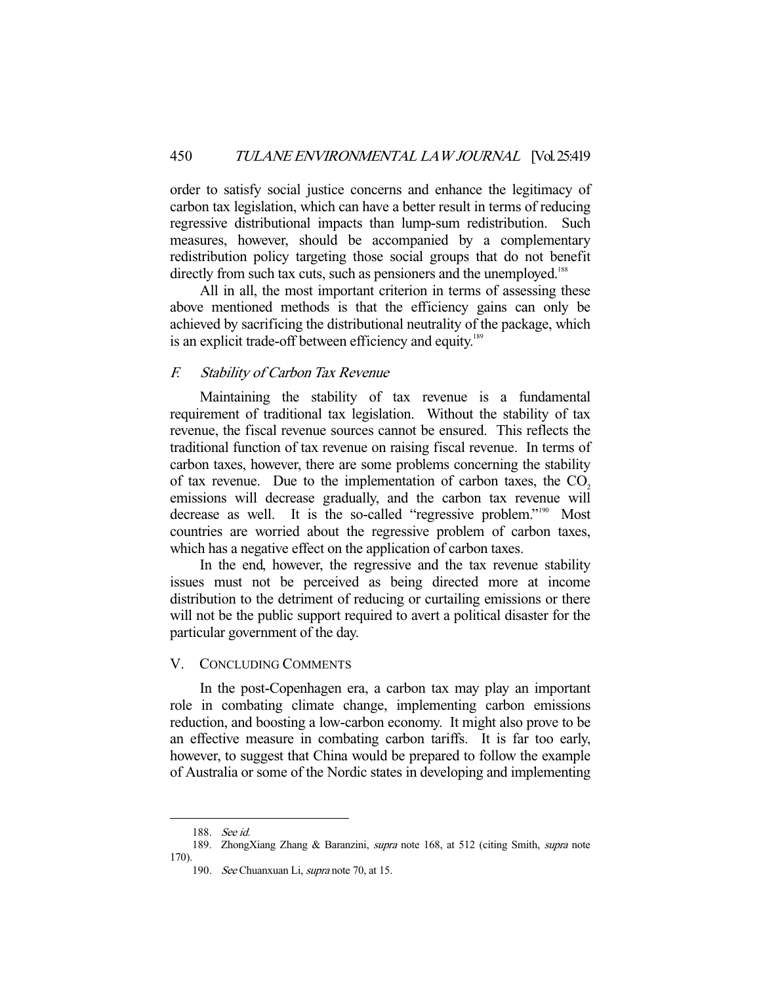order to satisfy social justice concerns and enhance the legitimacy of carbon tax legislation, which can have a better result in terms of reducing regressive distributional impacts than lump-sum redistribution. Such measures, however, should be accompanied by a complementary redistribution policy targeting those social groups that do not benefit directly from such tax cuts, such as pensioners and the unemployed.<sup>188</sup>

 All in all, the most important criterion in terms of assessing these above mentioned methods is that the efficiency gains can only be achieved by sacrificing the distributional neutrality of the package, which is an explicit trade-off between efficiency and equity.<sup>189</sup>

# F. Stability of Carbon Tax Revenue

 Maintaining the stability of tax revenue is a fundamental requirement of traditional tax legislation. Without the stability of tax revenue, the fiscal revenue sources cannot be ensured. This reflects the traditional function of tax revenue on raising fiscal revenue. In terms of carbon taxes, however, there are some problems concerning the stability of tax revenue. Due to the implementation of carbon taxes, the  $CO<sub>2</sub>$ emissions will decrease gradually, and the carbon tax revenue will decrease as well. It is the so-called "regressive problem."<sup>190</sup> Most countries are worried about the regressive problem of carbon taxes, which has a negative effect on the application of carbon taxes.

 In the end, however, the regressive and the tax revenue stability issues must not be perceived as being directed more at income distribution to the detriment of reducing or curtailing emissions or there will not be the public support required to avert a political disaster for the particular government of the day.

# V. CONCLUDING COMMENTS

 In the post-Copenhagen era, a carbon tax may play an important role in combating climate change, implementing carbon emissions reduction, and boosting a low-carbon economy. It might also prove to be an effective measure in combating carbon tariffs. It is far too early, however, to suggest that China would be prepared to follow the example of Australia or some of the Nordic states in developing and implementing

 <sup>188.</sup> See id.

<sup>189.</sup> ZhongXiang Zhang & Baranzini, supra note 168, at 512 (citing Smith, supra note 170).

 <sup>190.</sup> See Chuanxuan Li, supra note 70, at 15.